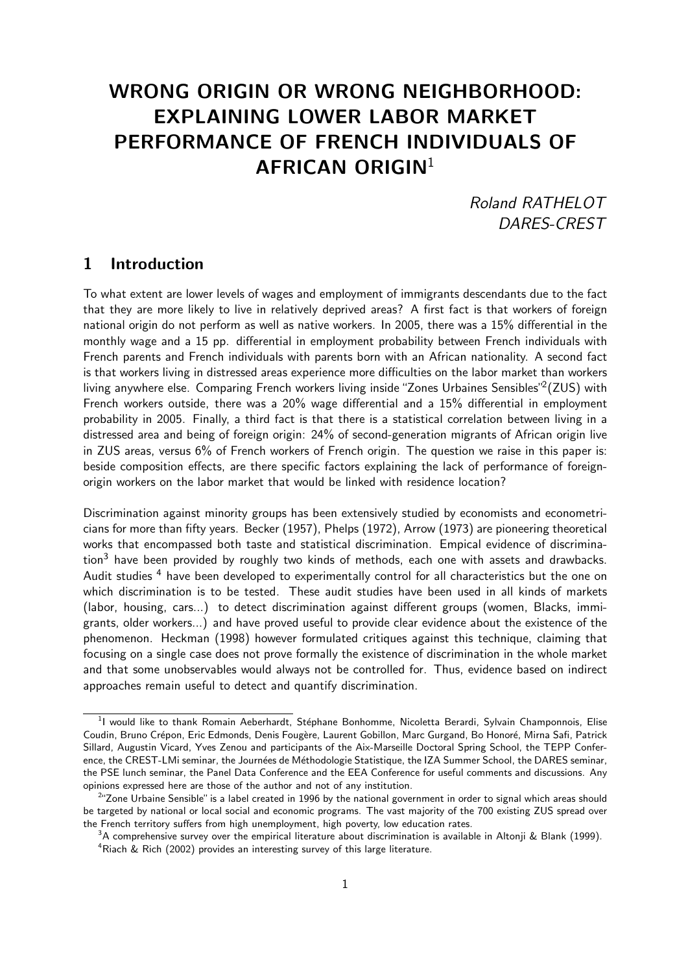# WRONG ORIGIN OR WRONG NEIGHBORHOOD: EXPLAINING LOWER LABOR MARKET PERFORMANCE OF FRENCH INDIVIDUALS OF AFRICAN ORIGIN $1$

Roland RATHELOT DARES-CREST

# 1 Introduction

To what extent are lower levels of wages and employment of immigrants descendants due to the fact that they are more likely to live in relatively deprived areas? A first fact is that workers of foreign national origin do not perform as well as native workers. In 2005, there was a 15% differential in the monthly wage and a 15 pp. differential in employment probability between French individuals with French parents and French individuals with parents born with an African nationality. A second fact is that workers living in distressed areas experience more difficulties on the labor market than workers living anywhere else. Comparing French workers living inside "Zones Urbaines Sensibles"<sup>2</sup>(ZUS) with French workers outside, there was a 20% wage differential and a 15% differential in employment probability in 2005. Finally, a third fact is that there is a statistical correlation between living in a distressed area and being of foreign origin: 24% of second-generation migrants of African origin live in ZUS areas, versus 6% of French workers of French origin. The question we raise in this paper is: beside composition effects, are there specific factors explaining the lack of performance of foreignorigin workers on the labor market that would be linked with residence location?

Discrimination against minority groups has been extensively studied by economists and econometricians for more than fifty years. Becker (1957), Phelps (1972), Arrow (1973) are pioneering theoretical works that encompassed both taste and statistical discrimination. Empical evidence of discrimina- $\chi$  have been provided by roughly two kinds of methods, each one with assets and drawbacks. Audit studies<sup>4</sup> have been developed to experimentally control for all characteristics but the one on which discrimination is to be tested. These audit studies have been used in all kinds of markets (labor, housing, cars...) to detect discrimination against different groups (women, Blacks, immigrants, older workers...) and have proved useful to provide clear evidence about the existence of the phenomenon. Heckman (1998) however formulated critiques against this technique, claiming that focusing on a single case does not prove formally the existence of discrimination in the whole market and that some unobservables would always not be controlled for. Thus, evidence based on indirect approaches remain useful to detect and quantify discrimination.

<sup>&</sup>lt;sup>1</sup>I would like to thank Romain Aeberhardt, Stéphane Bonhomme, Nicoletta Berardi, Sylvain Champonnois, Elise Coudin, Bruno Crépon, Eric Edmonds, Denis Fougère, Laurent Gobillon, Marc Gurgand, Bo Honoré, Mirna Safi, Patrick Sillard, Augustin Vicard, Yves Zenou and participants of the Aix-Marseille Doctoral Spring School, the TEPP Conference, the CREST-LMi seminar, the Journées de Méthodologie Statistique, the IZA Summer School, the DARES seminar, the PSE lunch seminar, the Panel Data Conference and the EEA Conference for useful comments and discussions. Any opinions expressed here are those of the author and not of any institution.

<sup>&</sup>lt;sup>2</sup>"Zone Urbaine Sensible" is a label created in 1996 by the national government in order to signal which areas should be targeted by national or local social and economic programs. The vast majority of the 700 existing ZUS spread over the French territory suffers from high unemployment, high poverty, low education rates.

 $3A$  comprehensive survey over the empirical literature about discrimination is available in Altonji & Blank (1999). <sup>4</sup>Riach & Rich (2002) provides an interesting survey of this large literature.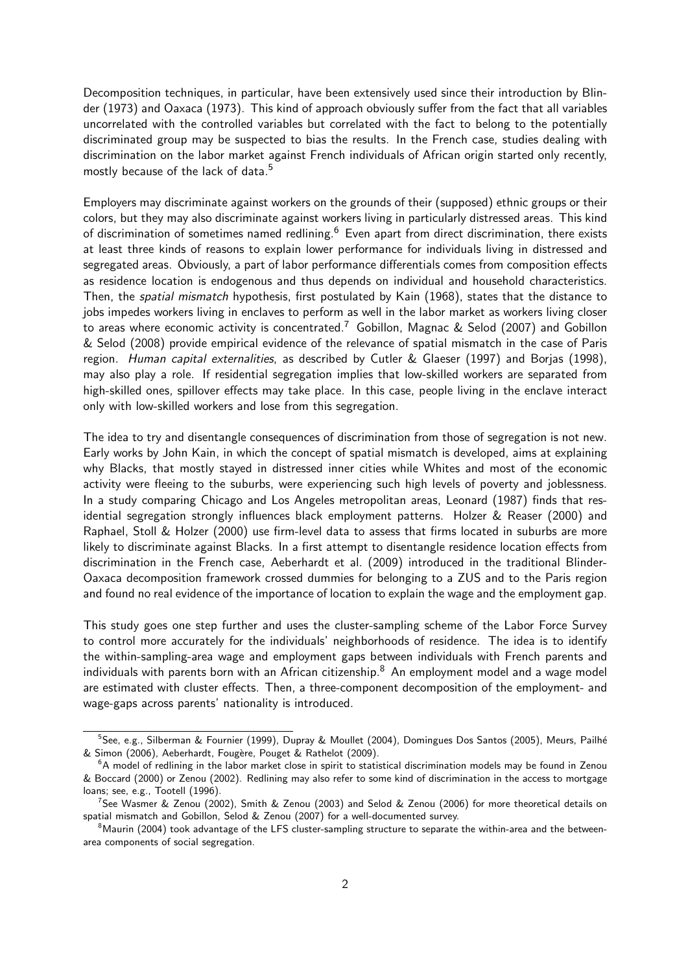Decomposition techniques, in particular, have been extensively used since their introduction by Blinder (1973) and Oaxaca (1973). This kind of approach obviously suffer from the fact that all variables uncorrelated with the controlled variables but correlated with the fact to belong to the potentially discriminated group may be suspected to bias the results. In the French case, studies dealing with discrimination on the labor market against French individuals of African origin started only recently, mostly because of the lack of data.<sup>5</sup>

Employers may discriminate against workers on the grounds of their (supposed) ethnic groups or their colors, but they may also discriminate against workers living in particularly distressed areas. This kind of discrimination of sometimes named redlining.<sup>6</sup> Even apart from direct discrimination, there exists at least three kinds of reasons to explain lower performance for individuals living in distressed and segregated areas. Obviously, a part of labor performance differentials comes from composition effects as residence location is endogenous and thus depends on individual and household characteristics. Then, the *spatial mismatch* hypothesis, first postulated by Kain (1968), states that the distance to jobs impedes workers living in enclaves to perform as well in the labor market as workers living closer to areas where economic activity is concentrated.<sup>7</sup> Gobillon, Magnac & Selod (2007) and Gobillon & Selod (2008) provide empirical evidence of the relevance of spatial mismatch in the case of Paris region. Human capital externalities, as described by Cutler & Glaeser (1997) and Borjas (1998), may also play a role. If residential segregation implies that low-skilled workers are separated from high-skilled ones, spillover effects may take place. In this case, people living in the enclave interact only with low-skilled workers and lose from this segregation.

The idea to try and disentangle consequences of discrimination from those of segregation is not new. Early works by John Kain, in which the concept of spatial mismatch is developed, aims at explaining why Blacks, that mostly stayed in distressed inner cities while Whites and most of the economic activity were fleeing to the suburbs, were experiencing such high levels of poverty and joblessness. In a study comparing Chicago and Los Angeles metropolitan areas, Leonard (1987) finds that residential segregation strongly influences black employment patterns. Holzer & Reaser (2000) and Raphael, Stoll & Holzer (2000) use firm-level data to assess that firms located in suburbs are more likely to discriminate against Blacks. In a first attempt to disentangle residence location effects from discrimination in the French case, Aeberhardt et al. (2009) introduced in the traditional Blinder-Oaxaca decomposition framework crossed dummies for belonging to a ZUS and to the Paris region and found no real evidence of the importance of location to explain the wage and the employment gap.

This study goes one step further and uses the cluster-sampling scheme of the Labor Force Survey to control more accurately for the individuals' neighborhoods of residence. The idea is to identify the within-sampling-area wage and employment gaps between individuals with French parents and individuals with parents born with an African citizenship. $8$  An employment model and a wage model are estimated with cluster effects. Then, a three-component decomposition of the employment- and wage-gaps across parents' nationality is introduced.

<sup>&</sup>lt;sup>5</sup>See, e.g., Silberman & Fournier (1999), Dupray & Moullet (2004), Domingues Dos Santos (2005), Meurs, Pailhé & Simon (2006), Aeberhardt, Fougère, Pouget & Rathelot (2009).

 $6A$  model of redlining in the labor market close in spirit to statistical discrimination models may be found in Zenou & Boccard (2000) or Zenou (2002). Redlining may also refer to some kind of discrimination in the access to mortgage loans; see, e.g., Tootell (1996).

<sup>&</sup>lt;sup>7</sup>See Wasmer & Zenou (2002), Smith & Zenou (2003) and Selod & Zenou (2006) for more theoretical details on spatial mismatch and Gobillon, Selod & Zenou (2007) for a well-documented survey.

<sup>&</sup>lt;sup>8</sup>Maurin (2004) took advantage of the LFS cluster-sampling structure to separate the within-area and the betweenarea components of social segregation.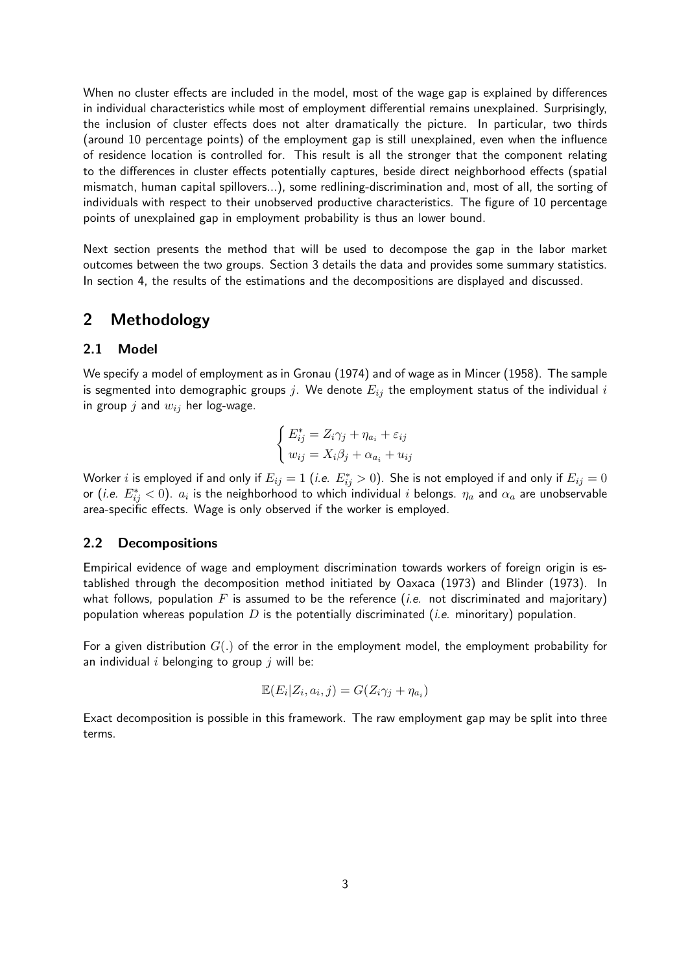When no cluster effects are included in the model, most of the wage gap is explained by differences in individual characteristics while most of employment differential remains unexplained. Surprisingly, the inclusion of cluster effects does not alter dramatically the picture. In particular, two thirds (around 10 percentage points) of the employment gap is still unexplained, even when the influence of residence location is controlled for. This result is all the stronger that the component relating to the differences in cluster effects potentially captures, beside direct neighborhood effects (spatial mismatch, human capital spillovers...), some redlining-discrimination and, most of all, the sorting of individuals with respect to their unobserved productive characteristics. The figure of 10 percentage points of unexplained gap in employment probability is thus an lower bound.

Next section presents the method that will be used to decompose the gap in the labor market outcomes between the two groups. Section 3 details the data and provides some summary statistics. In section 4, the results of the estimations and the decompositions are displayed and discussed.

# 2 Methodology

#### 2.1 Model

We specify a model of employment as in Gronau (1974) and of wage as in Mincer (1958). The sample is segmented into demographic groups j. We denote  $E_{ij}$  the employment status of the individual i in group  $j$  and  $w_{ij}$  her log-wage.

$$
\begin{cases} E_{ij}^* = Z_i \gamma_j + \eta_{a_i} + \varepsilon_{ij} \\ w_{ij} = X_i \beta_j + \alpha_{a_i} + u_{ij} \end{cases}
$$

Worker  $i$  is employed if and only if  $E_{ij}=1$  (*i.e.*  $E^*_{ij}>0$ ). She is not employed if and only if  $E_{ij}=0$ or (*i.e.*  $E^*_{ij} < 0$ *).*  $a_i$  is the neighborhood to which individual  $i$  belongs.  $\eta_a$  and  $\alpha_a$  are unobservable area-specific effects. Wage is only observed if the worker is employed.

#### 2.2 Decompositions

Empirical evidence of wage and employment discrimination towards workers of foreign origin is established through the decomposition method initiated by Oaxaca (1973) and Blinder (1973). In what follows, population  $F$  is assumed to be the reference (*i.e.* not discriminated and majoritary) population whereas population  $D$  is the potentially discriminated (*i.e.* minoritary) population.

For a given distribution  $G(.)$  of the error in the employment model, the employment probability for an individual  $i$  belonging to group  $j$  will be:

$$
\mathbb{E}(E_i|Z_i, a_i, j) = G(Z_i \gamma_j + \eta_{a_i})
$$

Exact decomposition is possible in this framework. The raw employment gap may be split into three terms.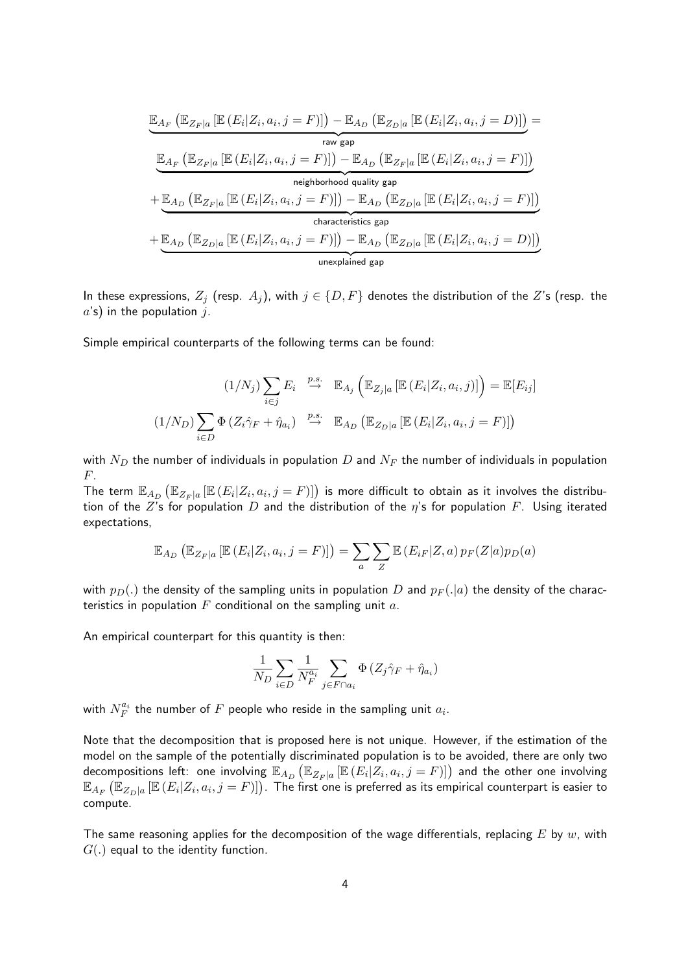$$
\underbrace{\mathbb{E}_{A_F} \left( \mathbb{E}_{Z_F|a} \left[ \mathbb{E} \left( E_i | Z_i, a_i, j = F \right) \right] \right) - \mathbb{E}_{A_D} \left( \mathbb{E}_{Z_D|a} \left[ \mathbb{E} \left( E_i | Z_i, a_i, j = D \right) \right] \right)}_{\text{raw gap}} =
$$
\n
$$
\underbrace{\mathbb{E}_{A_F} \left( \mathbb{E}_{Z_F|a} \left[ \mathbb{E} \left( E_i | Z_i, a_i, j = F \right) \right] \right) - \mathbb{E}_{A_D} \left( \mathbb{E}_{Z_F|a} \left[ \mathbb{E} \left( E_i | Z_i, a_i, j = F \right) \right] \right)}_{\text{neighborhood quality gap}}
$$
\n
$$
+ \underbrace{\mathbb{E}_{A_D} \left( \mathbb{E}_{Z_F|a} \left[ \mathbb{E} \left( E_i | Z_i, a_i, j = F \right) \right] \right) - \mathbb{E}_{A_D} \left( \mathbb{E}_{Z_D|a} \left[ \mathbb{E} \left( E_i | Z_i, a_i, j = F \right) \right] \right)}_{\text{characteristics gap}}
$$
\n
$$
+ \underbrace{\mathbb{E}_{A_D} \left( \mathbb{E}_{Z_D|a} \left[ \mathbb{E} \left( E_i | Z_i, a_i, j = F \right) \right] \right) - \mathbb{E}_{A_D} \left( \mathbb{E}_{Z_D|a} \left[ \mathbb{E} \left( E_i | Z_i, a_i, j = D \right) \right] \right)}_{\text{unexplained gap}}
$$

In these expressions,  $Z_j$  (resp.  $A_j$ ), with  $j \in \{D, F\}$  denotes the distribution of the  $Z$ 's (resp. the  $a$ 's) in the population  $j$ .

Simple empirical counterparts of the following terms can be found:

$$
(1/N_j) \sum_{i \in j} E_i \stackrel{p.s.}{\to} \mathbb{E}_{A_j} \left( \mathbb{E}_{Z_j|a} \left[ \mathbb{E} \left( E_i | Z_i, a_i, j \right) \right] \right) = \mathbb{E}[E_{ij}]
$$

$$
(1/N_D) \sum_{i \in D} \Phi \left( Z_i \hat{\gamma}_F + \hat{\eta}_{a_i} \right) \stackrel{p.s.}{\to} \mathbb{E}_{A_D} \left( \mathbb{E}_{Z_D|a} \left[ \mathbb{E} \left( E_i | Z_i, a_i, j = F \right) \right] \right)
$$

with  $N_D$  the number of individuals in population D and  $N_F$  the number of individuals in population F.

The term  $\mathbb{E}_{A_D}\left(\mathbb{E}_{Z_F|a}\left[\mathbb{E}\left(E_i|Z_i,a_i,j=F\right)\right]\right)$  is more difficult to obtain as it involves the distribution of the Z's for population D and the distribution of the  $\eta$ 's for population F. Using iterated expectations,

$$
\mathbb{E}_{A_D} \left( \mathbb{E}_{Z_F|a} \left[ \mathbb{E} \left( E_i | Z_i, a_i, j = F \right) \right] \right) = \sum_a \sum_Z \mathbb{E} \left( E_{iF} | Z, a \right) p_F(Z|a) p_D(a)
$$

with  $p_D(.)$  the density of the sampling units in population D and  $p_F(.)$  the density of the characteristics in population  $F$  conditional on the sampling unit  $a$ .

An empirical counterpart for this quantity is then:

$$
\frac{1}{N_D} \sum_{i \in D} \frac{1}{N_F^{a_i}} \sum_{j \in F \cap a_i} \Phi \left( Z_j \hat{\gamma}_F + \hat{\eta}_{a_i} \right)
$$

with  $N_F^{a_i}$  the number of  $F$  people who reside in the sampling unit  $a_i$ .

Note that the decomposition that is proposed here is not unique. However, if the estimation of the model on the sample of the potentially discriminated population is to be avoided, there are only two decompositions left: one involving  $\mathbb{E}_{A_D}\left(\mathbb{E}_{Z_F|a}\left[\mathbb{E}\left(E_i|Z_i,a_i,j=F\right)\right]\right)$  and the other one involving  $\mathbb{E}_{A_F}\left(\mathbb{E}_{Z_D|a}\left[\mathbb{E}\left(E_i|Z_i,a_i,j=F\right)\right]\right)$ . The first one is preferred as its empirical counterpart is easier to compute.

The same reasoning applies for the decomposition of the wage differentials, replacing E by  $w$ , with  $G(.)$  equal to the identity function.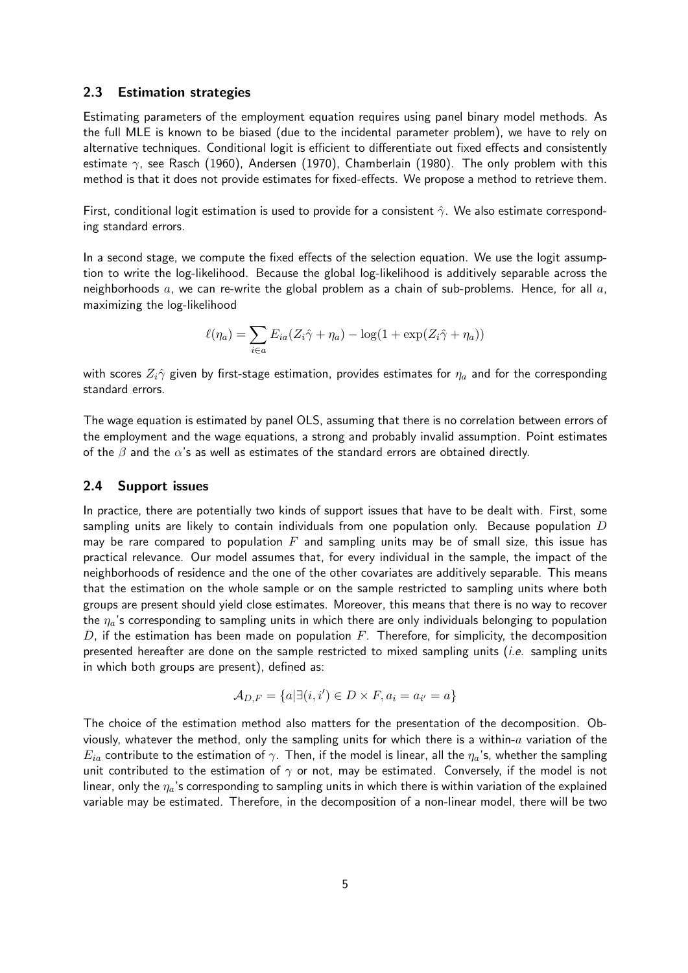#### 2.3 Estimation strategies

Estimating parameters of the employment equation requires using panel binary model methods. As the full MLE is known to be biased (due to the incidental parameter problem), we have to rely on alternative techniques. Conditional logit is efficient to differentiate out fixed effects and consistently estimate  $\gamma$ , see Rasch (1960), Andersen (1970), Chamberlain (1980). The only problem with this method is that it does not provide estimates for fixed-effects. We propose a method to retrieve them.

First, conditional logit estimation is used to provide for a consistent  $\hat{\gamma}$ . We also estimate corresponding standard errors.

In a second stage, we compute the fixed effects of the selection equation. We use the logit assumption to write the log-likelihood. Because the global log-likelihood is additively separable across the neighborhoods  $a$ , we can re-write the global problem as a chain of sub-problems. Hence, for all  $a$ , maximizing the log-likelihood

$$
\ell(\eta_a) = \sum_{i \in a} E_{ia}(Z_i \hat{\gamma} + \eta_a) - \log(1 + \exp(Z_i \hat{\gamma} + \eta_a))
$$

with scores  $Z_i\hat{\gamma}$  given by first-stage estimation, provides estimates for  $\eta_a$  and for the corresponding standard errors.

The wage equation is estimated by panel OLS, assuming that there is no correlation between errors of the employment and the wage equations, a strong and probably invalid assumption. Point estimates of the  $\beta$  and the  $\alpha$ 's as well as estimates of the standard errors are obtained directly.

#### 2.4 Support issues

In practice, there are potentially two kinds of support issues that have to be dealt with. First, some sampling units are likely to contain individuals from one population only. Because population  $D$ may be rare compared to population  $F$  and sampling units may be of small size, this issue has practical relevance. Our model assumes that, for every individual in the sample, the impact of the neighborhoods of residence and the one of the other covariates are additively separable. This means that the estimation on the whole sample or on the sample restricted to sampling units where both groups are present should yield close estimates. Moreover, this means that there is no way to recover the  $\eta_a$ 's corresponding to sampling units in which there are only individuals belonging to population  $D$ , if the estimation has been made on population  $F$ . Therefore, for simplicity, the decomposition presented hereafter are done on the sample restricted to mixed sampling units (*i.e.* sampling units in which both groups are present), defined as:

$$
\mathcal{A}_{D,F} = \{a | \exists (i,i') \in D \times F, a_i = a_{i'} = a\}
$$

The choice of the estimation method also matters for the presentation of the decomposition. Obviously, whatever the method, only the sampling units for which there is a within- $a$  variation of the  $E_{ia}$  contribute to the estimation of  $\gamma$ . Then, if the model is linear, all the  $\eta_a$ 's, whether the sampling unit contributed to the estimation of  $\gamma$  or not, may be estimated. Conversely, if the model is not linear, only the  $\eta_a$ 's corresponding to sampling units in which there is within variation of the explained variable may be estimated. Therefore, in the decomposition of a non-linear model, there will be two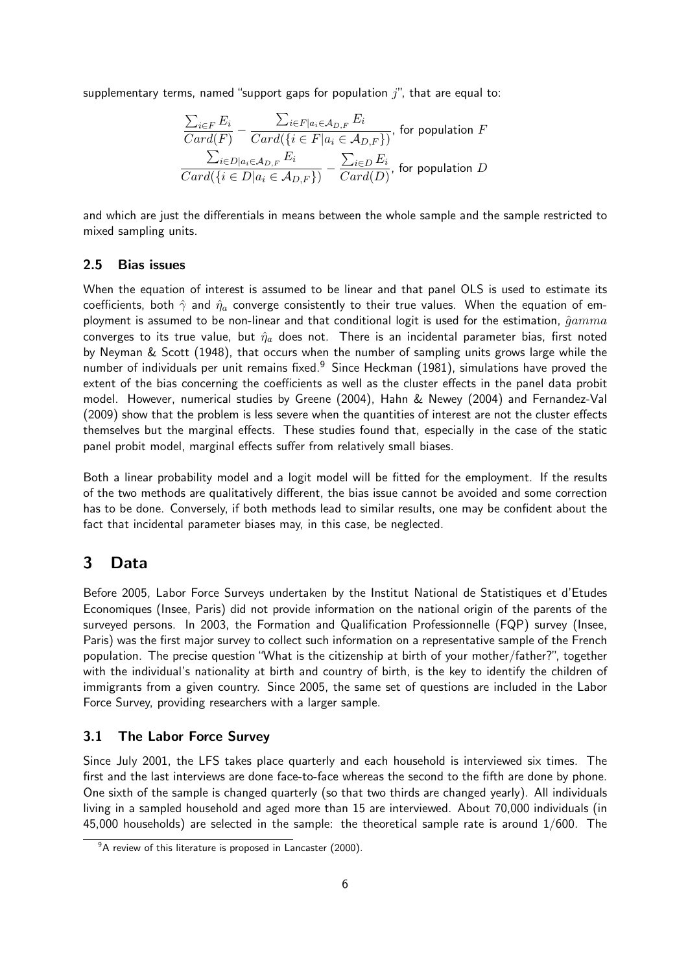supplementary terms, named "support gaps for population  $j$ ", that are equal to:

$$
\frac{\sum_{i \in F} E_i}{Card(F)} - \frac{\sum_{i \in F | a_i \in A_{D,F}} E_i}{Card(\{i \in F | a_i \in A_{D,F}\})},
$$
 for population  $F$   

$$
\frac{\sum_{i \in D | a_i \in A_{D,F}} E_i}{Card(\{i \in D | a_i \in A_{D,F}\})} - \frac{\sum_{i \in D} E_i}{Card(D)},
$$
 for population  $D$ 

and which are just the differentials in means between the whole sample and the sample restricted to mixed sampling units.

#### 2.5 Bias issues

When the equation of interest is assumed to be linear and that panel OLS is used to estimate its coefficients, both  $\hat{\gamma}$  and  $\hat{\eta}_a$  converge consistently to their true values. When the equation of employment is assumed to be non-linear and that conditional logit is used for the estimation,  $\hat{g}amm$ converges to its true value, but  $\hat{\eta}_a$  does not. There is an incidental parameter bias, first noted by Neyman & Scott (1948), that occurs when the number of sampling units grows large while the number of individuals per unit remains fixed.<sup>9</sup> Since Heckman (1981), simulations have proved the extent of the bias concerning the coefficients as well as the cluster effects in the panel data probit model. However, numerical studies by Greene (2004), Hahn & Newey (2004) and Fernandez-Val (2009) show that the problem is less severe when the quantities of interest are not the cluster effects themselves but the marginal effects. These studies found that, especially in the case of the static panel probit model, marginal effects suffer from relatively small biases.

Both a linear probability model and a logit model will be fitted for the employment. If the results of the two methods are qualitatively different, the bias issue cannot be avoided and some correction has to be done. Conversely, if both methods lead to similar results, one may be confident about the fact that incidental parameter biases may, in this case, be neglected.

# 3 Data

Before 2005, Labor Force Surveys undertaken by the Institut National de Statistiques et d'Etudes Economiques (Insee, Paris) did not provide information on the national origin of the parents of the surveyed persons. In 2003, the Formation and Qualification Professionnelle (FQP) survey (Insee, Paris) was the first major survey to collect such information on a representative sample of the French population. The precise question "What is the citizenship at birth of your mother/father?", together with the individual's nationality at birth and country of birth, is the key to identify the children of immigrants from a given country. Since 2005, the same set of questions are included in the Labor Force Survey, providing researchers with a larger sample.

#### 3.1 The Labor Force Survey

Since July 2001, the LFS takes place quarterly and each household is interviewed six times. The first and the last interviews are done face-to-face whereas the second to the fifth are done by phone. One sixth of the sample is changed quarterly (so that two thirds are changed yearly). All individuals living in a sampled household and aged more than 15 are interviewed. About 70,000 individuals (in 45,000 households) are selected in the sample: the theoretical sample rate is around 1/600. The

 $9^9$ A review of this literature is proposed in Lancaster (2000).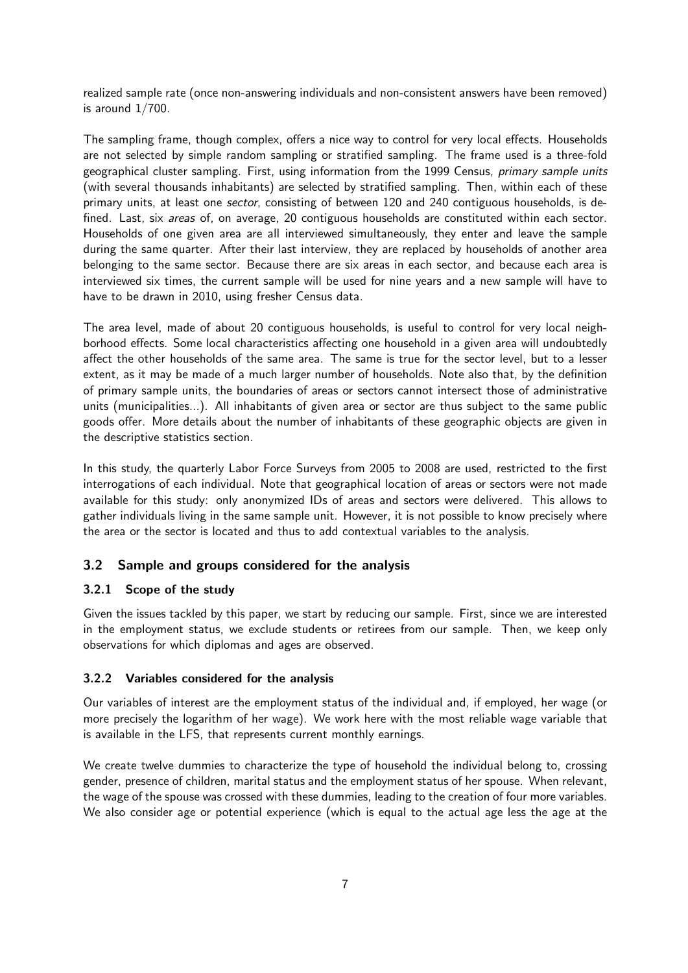realized sample rate (once non-answering individuals and non-consistent answers have been removed) is around 1/700.

The sampling frame, though complex, offers a nice way to control for very local effects. Households are not selected by simple random sampling or stratified sampling. The frame used is a three-fold geographical cluster sampling. First, using information from the 1999 Census, *primary sample units* (with several thousands inhabitants) are selected by stratified sampling. Then, within each of these primary units, at least one *sector*, consisting of between 120 and 240 contiguous households, is defined. Last, six *areas* of, on average, 20 contiguous households are constituted within each sector. Households of one given area are all interviewed simultaneously, they enter and leave the sample during the same quarter. After their last interview, they are replaced by households of another area belonging to the same sector. Because there are six areas in each sector, and because each area is interviewed six times, the current sample will be used for nine years and a new sample will have to have to be drawn in 2010, using fresher Census data.

The area level, made of about 20 contiguous households, is useful to control for very local neighborhood effects. Some local characteristics affecting one household in a given area will undoubtedly affect the other households of the same area. The same is true for the sector level, but to a lesser extent, as it may be made of a much larger number of households. Note also that, by the definition of primary sample units, the boundaries of areas or sectors cannot intersect those of administrative units (municipalities...). All inhabitants of given area or sector are thus subject to the same public goods offer. More details about the number of inhabitants of these geographic objects are given in the descriptive statistics section.

In this study, the quarterly Labor Force Surveys from 2005 to 2008 are used, restricted to the first interrogations of each individual. Note that geographical location of areas or sectors were not made available for this study: only anonymized IDs of areas and sectors were delivered. This allows to gather individuals living in the same sample unit. However, it is not possible to know precisely where the area or the sector is located and thus to add contextual variables to the analysis.

## 3.2 Sample and groups considered for the analysis

#### 3.2.1 Scope of the study

Given the issues tackled by this paper, we start by reducing our sample. First, since we are interested in the employment status, we exclude students or retirees from our sample. Then, we keep only observations for which diplomas and ages are observed.

#### 3.2.2 Variables considered for the analysis

Our variables of interest are the employment status of the individual and, if employed, her wage (or more precisely the logarithm of her wage). We work here with the most reliable wage variable that is available in the LFS, that represents current monthly earnings.

We create twelve dummies to characterize the type of household the individual belong to, crossing gender, presence of children, marital status and the employment status of her spouse. When relevant, the wage of the spouse was crossed with these dummies, leading to the creation of four more variables. We also consider age or potential experience (which is equal to the actual age less the age at the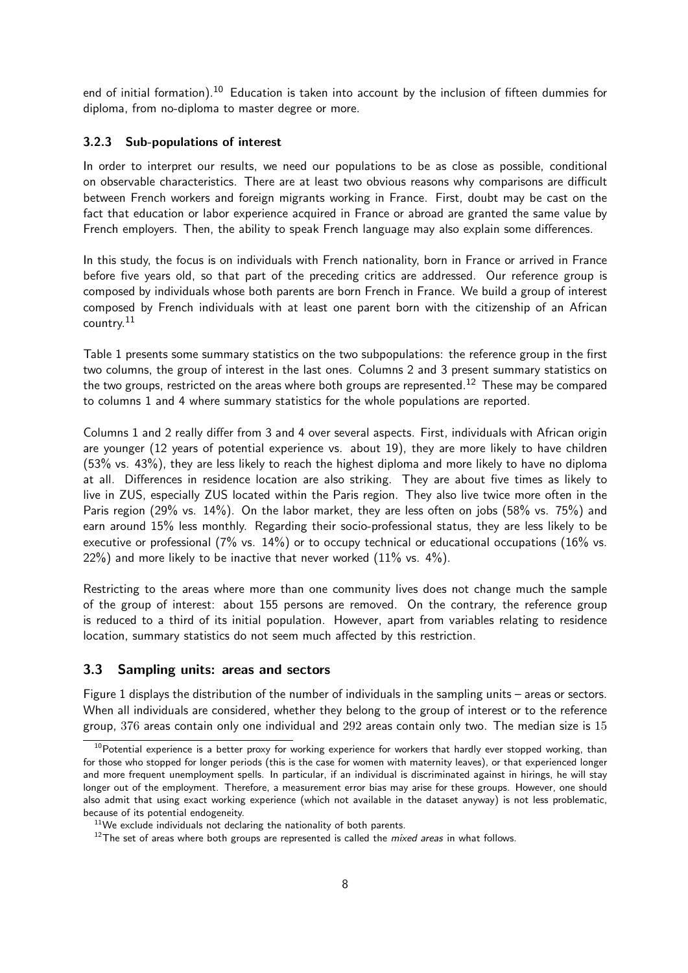end of initial formation).<sup>10</sup> Education is taken into account by the inclusion of fifteen dummies for diploma, from no-diploma to master degree or more.

#### 3.2.3 Sub-populations of interest

In order to interpret our results, we need our populations to be as close as possible, conditional on observable characteristics. There are at least two obvious reasons why comparisons are difficult between French workers and foreign migrants working in France. First, doubt may be cast on the fact that education or labor experience acquired in France or abroad are granted the same value by French employers. Then, the ability to speak French language may also explain some differences.

In this study, the focus is on individuals with French nationality, born in France or arrived in France before five years old, so that part of the preceding critics are addressed. Our reference group is composed by individuals whose both parents are born French in France. We build a group of interest composed by French individuals with at least one parent born with the citizenship of an African country.<sup>11</sup>

Table 1 presents some summary statistics on the two subpopulations: the reference group in the first two columns, the group of interest in the last ones. Columns 2 and 3 present summary statistics on the two groups, restricted on the areas where both groups are represented.<sup>12</sup> These may be compared to columns 1 and 4 where summary statistics for the whole populations are reported.

Columns 1 and 2 really differ from 3 and 4 over several aspects. First, individuals with African origin are younger (12 years of potential experience vs. about 19), they are more likely to have children (53% vs. 43%), they are less likely to reach the highest diploma and more likely to have no diploma at all. Differences in residence location are also striking. They are about five times as likely to live in ZUS, especially ZUS located within the Paris region. They also live twice more often in the Paris region (29% vs. 14%). On the labor market, they are less often on jobs (58% vs. 75%) and earn around 15% less monthly. Regarding their socio-professional status, they are less likely to be executive or professional (7% vs. 14%) or to occupy technical or educational occupations (16% vs.  $22\%$ ) and more likely to be inactive that never worked  $(11\% \text{ vs. } 4\%).$ 

Restricting to the areas where more than one community lives does not change much the sample of the group of interest: about 155 persons are removed. On the contrary, the reference group is reduced to a third of its initial population. However, apart from variables relating to residence location, summary statistics do not seem much affected by this restriction.

#### 3.3 Sampling units: areas and sectors

Figure 1 displays the distribution of the number of individuals in the sampling units – areas or sectors. When all individuals are considered, whether they belong to the group of interest or to the reference group,  $376$  areas contain only one individual and  $292$  areas contain only two. The median size is  $15$ 

 $10P$ otential experience is a better proxy for working experience for workers that hardly ever stopped working, than for those who stopped for longer periods (this is the case for women with maternity leaves), or that experienced longer and more frequent unemployment spells. In particular, if an individual is discriminated against in hirings, he will stay longer out of the employment. Therefore, a measurement error bias may arise for these groups. However, one should also admit that using exact working experience (which not available in the dataset anyway) is not less problematic, because of its potential endogeneity.

 $11$ We exclude individuals not declaring the nationality of both parents.

 $12$ The set of areas where both groups are represented is called the *mixed areas* in what follows.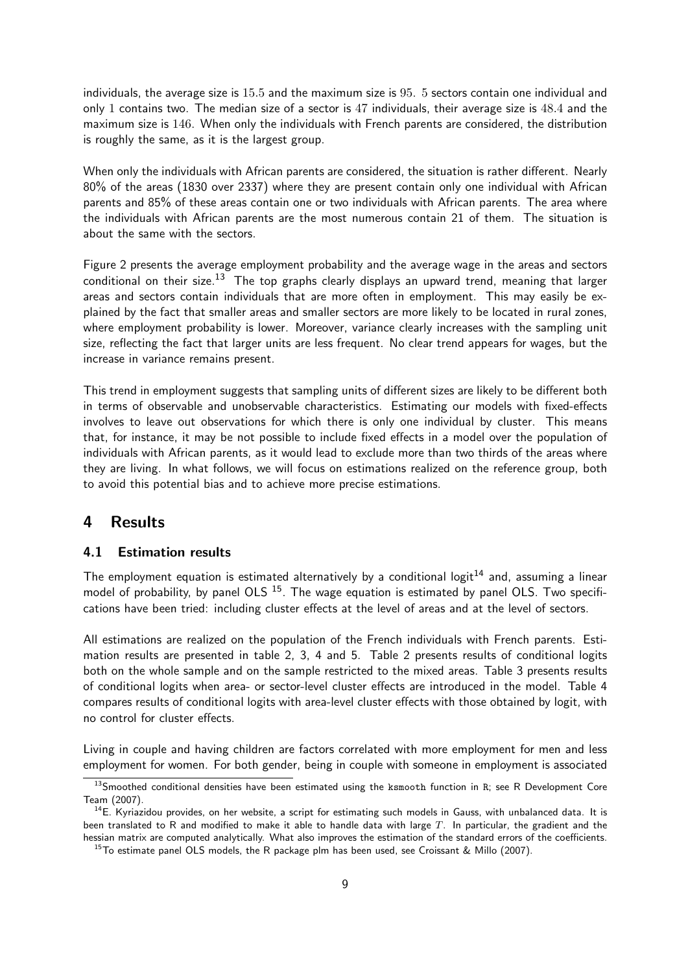individuals, the average size is 15.5 and the maximum size is 95. 5 sectors contain one individual and only 1 contains two. The median size of a sector is 47 individuals, their average size is 48.4 and the maximum size is 146. When only the individuals with French parents are considered, the distribution is roughly the same, as it is the largest group.

When only the individuals with African parents are considered, the situation is rather different. Nearly 80% of the areas (1830 over 2337) where they are present contain only one individual with African parents and 85% of these areas contain one or two individuals with African parents. The area where the individuals with African parents are the most numerous contain 21 of them. The situation is about the same with the sectors.

Figure 2 presents the average employment probability and the average wage in the areas and sectors conditional on their size.<sup>13</sup> The top graphs clearly displays an upward trend, meaning that larger areas and sectors contain individuals that are more often in employment. This may easily be explained by the fact that smaller areas and smaller sectors are more likely to be located in rural zones, where employment probability is lower. Moreover, variance clearly increases with the sampling unit size, reflecting the fact that larger units are less frequent. No clear trend appears for wages, but the increase in variance remains present.

This trend in employment suggests that sampling units of different sizes are likely to be different both in terms of observable and unobservable characteristics. Estimating our models with fixed-effects involves to leave out observations for which there is only one individual by cluster. This means that, for instance, it may be not possible to include fixed effects in a model over the population of individuals with African parents, as it would lead to exclude more than two thirds of the areas where they are living. In what follows, we will focus on estimations realized on the reference group, both to avoid this potential bias and to achieve more precise estimations.

# 4 Results

## 4.1 Estimation results

The employment equation is estimated alternatively by a conditional logit<sup>14</sup> and, assuming a linear model of probability, by panel OLS  $15$ . The wage equation is estimated by panel OLS. Two specifications have been tried: including cluster effects at the level of areas and at the level of sectors.

All estimations are realized on the population of the French individuals with French parents. Estimation results are presented in table 2, 3, 4 and 5. Table 2 presents results of conditional logits both on the whole sample and on the sample restricted to the mixed areas. Table 3 presents results of conditional logits when area- or sector-level cluster effects are introduced in the model. Table 4 compares results of conditional logits with area-level cluster effects with those obtained by logit, with no control for cluster effects.

Living in couple and having children are factors correlated with more employment for men and less employment for women. For both gender, being in couple with someone in employment is associated

 $13$ Smoothed conditional densities have been estimated using the ksmooth function in R; see R Development Core Team (2007).

<sup>&</sup>lt;sup>14</sup>E. Kyriazidou provides, on her website, a script for estimating such models in Gauss, with unbalanced data. It is been translated to R and modified to make it able to handle data with large  $T$ . In particular, the gradient and the hessian matrix are computed analytically. What also improves the estimation of the standard errors of the coefficients.

<sup>&</sup>lt;sup>15</sup>To estimate panel OLS models, the R package plm has been used, see Croissant & Millo (2007).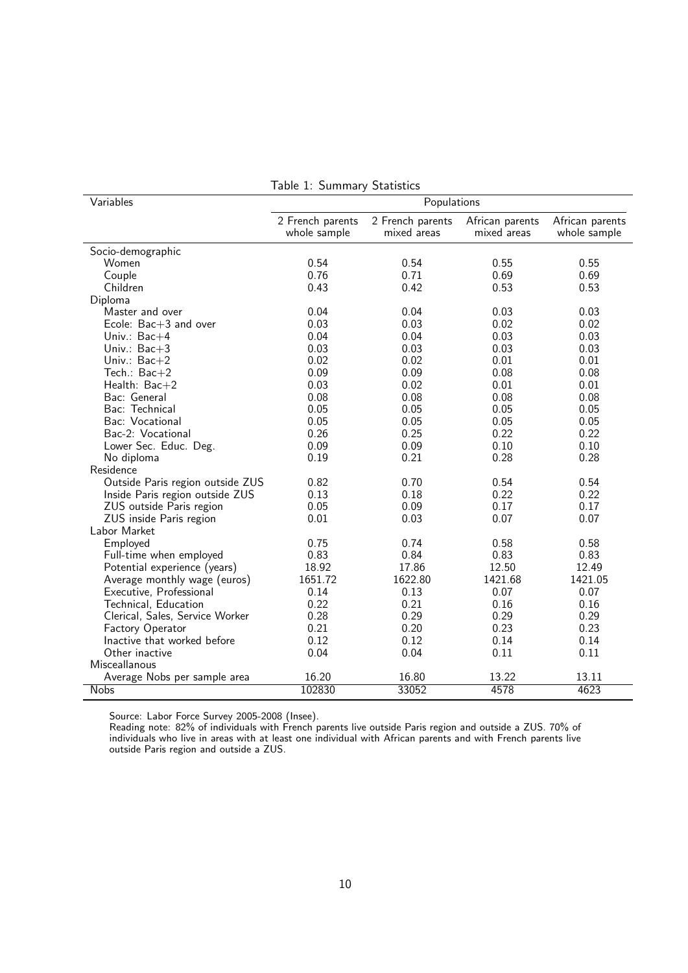| Variables                        | Populations                      |                                 |                                |                                 |  |  |  |
|----------------------------------|----------------------------------|---------------------------------|--------------------------------|---------------------------------|--|--|--|
|                                  | 2 French parents<br>whole sample | 2 French parents<br>mixed areas | African parents<br>mixed areas | African parents<br>whole sample |  |  |  |
| Socio-demographic                |                                  |                                 |                                |                                 |  |  |  |
| Women                            | 0.54                             | 0.54                            | 0.55                           | 0.55                            |  |  |  |
| Couple                           | 0.76                             | 0.71                            | 0.69                           | 0.69                            |  |  |  |
| Children                         | 0.43                             | 0.42                            | 0.53                           | 0.53                            |  |  |  |
| Diploma                          |                                  |                                 |                                |                                 |  |  |  |
| Master and over                  | 0.04                             | 0.04                            | 0.03                           | 0.03                            |  |  |  |
| Ecole: $Bac+3$ and over          | 0.03                             | 0.03                            | 0.02                           | 0.02                            |  |  |  |
| Univ.: $Bac+4$                   | 0.04                             | 0.04                            | 0.03                           | 0.03                            |  |  |  |
| Univ.: $Bac+3$                   | 0.03                             | 0.03                            | 0.03                           | 0.03                            |  |  |  |
| Univ.: $Bac+2$                   | 0.02                             | 0.02                            | 0.01                           | 0.01                            |  |  |  |
| Tech.: Bac+2                     | 0.09                             | 0.09                            | 0.08                           | 0.08                            |  |  |  |
| Health: $Bac+2$                  | 0.03                             | 0.02                            | 0.01                           | 0.01                            |  |  |  |
| Bac: General                     | 0.08                             | 0.08                            | 0.08                           | 0.08                            |  |  |  |
| Bac: Technical                   | 0.05                             | 0.05                            | 0.05                           | 0.05                            |  |  |  |
| Bac: Vocational                  | 0.05                             | 0.05                            | 0.05                           | 0.05                            |  |  |  |
| Bac-2: Vocational                | 0.26                             | 0.25                            | 0.22                           | 0.22                            |  |  |  |
| Lower Sec. Educ. Deg.            | 0.09                             | 0.09                            | 0.10                           | 0.10                            |  |  |  |
| No diploma                       | 0.19                             | 0.21                            | 0.28                           | 0.28                            |  |  |  |
| Residence                        |                                  |                                 |                                |                                 |  |  |  |
| Outside Paris region outside ZUS | 0.82                             | 0.70                            | 0.54                           | 0.54                            |  |  |  |
| Inside Paris region outside ZUS  | 0.13                             | 0.18                            | 0.22                           | 0.22                            |  |  |  |
| ZUS outside Paris region         | 0.05                             | 0.09                            | 0.17                           | 0.17                            |  |  |  |
| ZUS inside Paris region          | 0.01                             | 0.03                            | 0.07                           | 0.07                            |  |  |  |
| Labor Market                     |                                  |                                 |                                |                                 |  |  |  |
| Employed                         | 0.75                             | 0.74                            | 0.58                           | 0.58                            |  |  |  |
| Full-time when employed          | 0.83                             | 0.84                            | 0.83                           | 0.83                            |  |  |  |
| Potential experience (years)     | 18.92                            | 17.86                           | 12.50                          | 12.49                           |  |  |  |
| Average monthly wage (euros)     | 1651.72                          | 1622.80                         | 1421.68                        | 1421.05                         |  |  |  |
| Executive, Professional          | 0.14                             | 0.13                            | 0.07                           | 0.07                            |  |  |  |
| Technical, Education             | 0.22                             | 0.21                            | 0.16                           | 0.16                            |  |  |  |
| Clerical, Sales, Service Worker  | 0.28                             | 0.29                            | 0.29                           | 0.29                            |  |  |  |
| Factory Operator                 | 0.21                             | 0.20                            | 0.23                           | 0.23                            |  |  |  |
| Inactive that worked before      | 0.12                             | 0.12                            | 0.14                           | 0.14                            |  |  |  |
| Other inactive                   | 0.04                             | 0.04                            | 0.11                           | 0.11                            |  |  |  |
| Misceallanous                    |                                  |                                 |                                |                                 |  |  |  |
| Average Nobs per sample area     | 16.20                            | 16.80                           | 13.22                          | 13.11                           |  |  |  |
| <b>Nobs</b>                      | 102830                           | 33052                           | 4578                           | 4623                            |  |  |  |

Table 1: Summary Statistics

Reading note: 82% of individuals with French parents live outside Paris region and outside a ZUS. 70% of individuals who live in areas with at least one individual with African parents and with French parents live outside Paris region and outside a ZUS.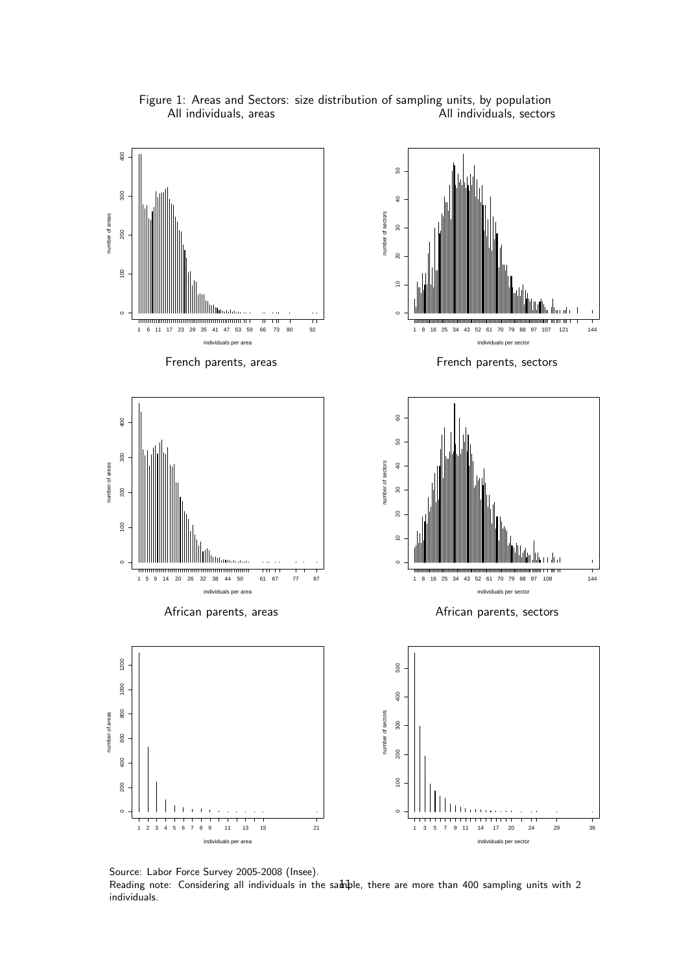

Figure 1: Areas and Sectors: size distribution of sampling units, by population All individuals, areas All individuals, sectors

Source: Labor Force Survey 2005-2008 (Insee). Reading note: Considering all individuals in the samble, there are more than 400 sampling units with 2 individuals.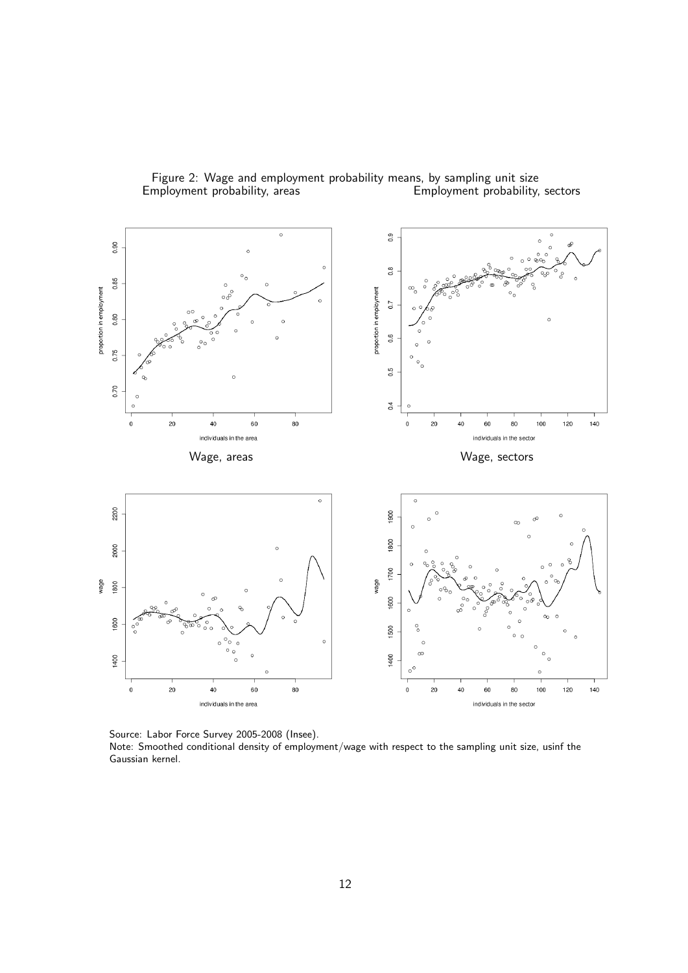

Figure 2: Wage and employment probability means, by sampling unit size<br>Employment probability, areas **Employment probability**, Employment probability, sectors

Source: Labor Force Survey 2005-2008 (Insee). Note: Smoothed conditional density of employment/wage with respect to the sampling unit size, usinf the Gaussian kernel.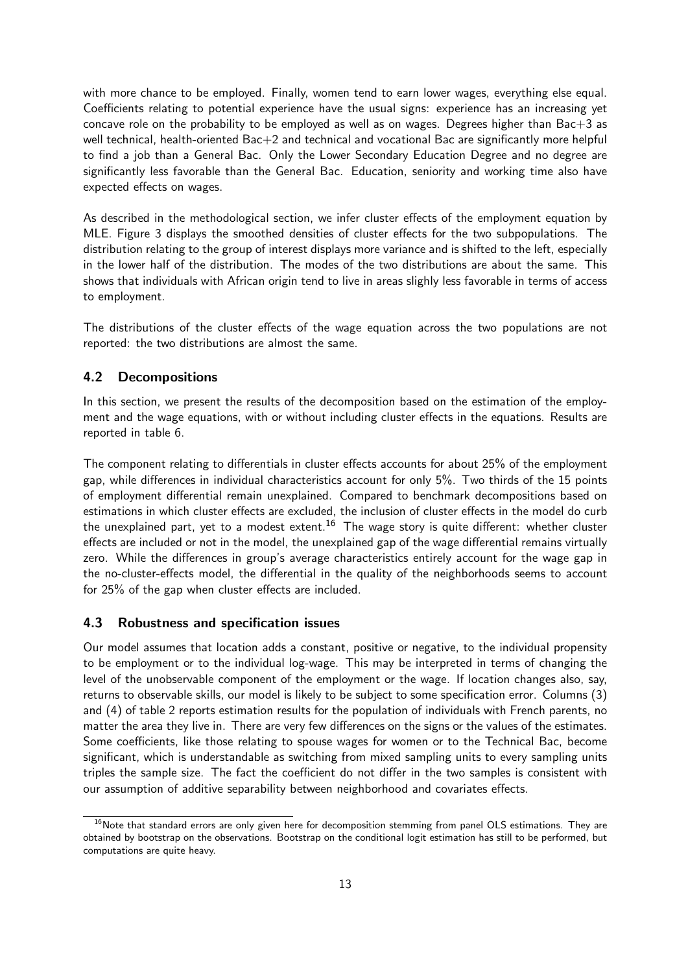with more chance to be employed. Finally, women tend to earn lower wages, everything else equal. Coefficients relating to potential experience have the usual signs: experience has an increasing yet concave role on the probability to be employed as well as on wages. Degrees higher than  $BaC + 3$  as well technical, health-oriented Bac+2 and technical and vocational Bac are significantly more helpful to find a job than a General Bac. Only the Lower Secondary Education Degree and no degree are significantly less favorable than the General Bac. Education, seniority and working time also have expected effects on wages.

As described in the methodological section, we infer cluster effects of the employment equation by MLE. Figure 3 displays the smoothed densities of cluster effects for the two subpopulations. The distribution relating to the group of interest displays more variance and is shifted to the left, especially in the lower half of the distribution. The modes of the two distributions are about the same. This shows that individuals with African origin tend to live in areas slighly less favorable in terms of access to employment.

The distributions of the cluster effects of the wage equation across the two populations are not reported: the two distributions are almost the same.

# 4.2 Decompositions

In this section, we present the results of the decomposition based on the estimation of the employment and the wage equations, with or without including cluster effects in the equations. Results are reported in table 6.

The component relating to differentials in cluster effects accounts for about 25% of the employment gap, while differences in individual characteristics account for only 5%. Two thirds of the 15 points of employment differential remain unexplained. Compared to benchmark decompositions based on estimations in which cluster effects are excluded, the inclusion of cluster effects in the model do curb the unexplained part, yet to a modest extent.<sup>16</sup> The wage story is quite different: whether cluster effects are included or not in the model, the unexplained gap of the wage differential remains virtually zero. While the differences in group's average characteristics entirely account for the wage gap in the no-cluster-effects model, the differential in the quality of the neighborhoods seems to account for 25% of the gap when cluster effects are included.

## 4.3 Robustness and specification issues

Our model assumes that location adds a constant, positive or negative, to the individual propensity to be employment or to the individual log-wage. This may be interpreted in terms of changing the level of the unobservable component of the employment or the wage. If location changes also, say, returns to observable skills, our model is likely to be subject to some specification error. Columns (3) and (4) of table 2 reports estimation results for the population of individuals with French parents, no matter the area they live in. There are very few differences on the signs or the values of the estimates. Some coefficients, like those relating to spouse wages for women or to the Technical Bac, become significant, which is understandable as switching from mixed sampling units to every sampling units triples the sample size. The fact the coefficient do not differ in the two samples is consistent with our assumption of additive separability between neighborhood and covariates effects.

 $16$ Note that standard errors are only given here for decomposition stemming from panel OLS estimations. They are obtained by bootstrap on the observations. Bootstrap on the conditional logit estimation has still to be performed, but computations are quite heavy.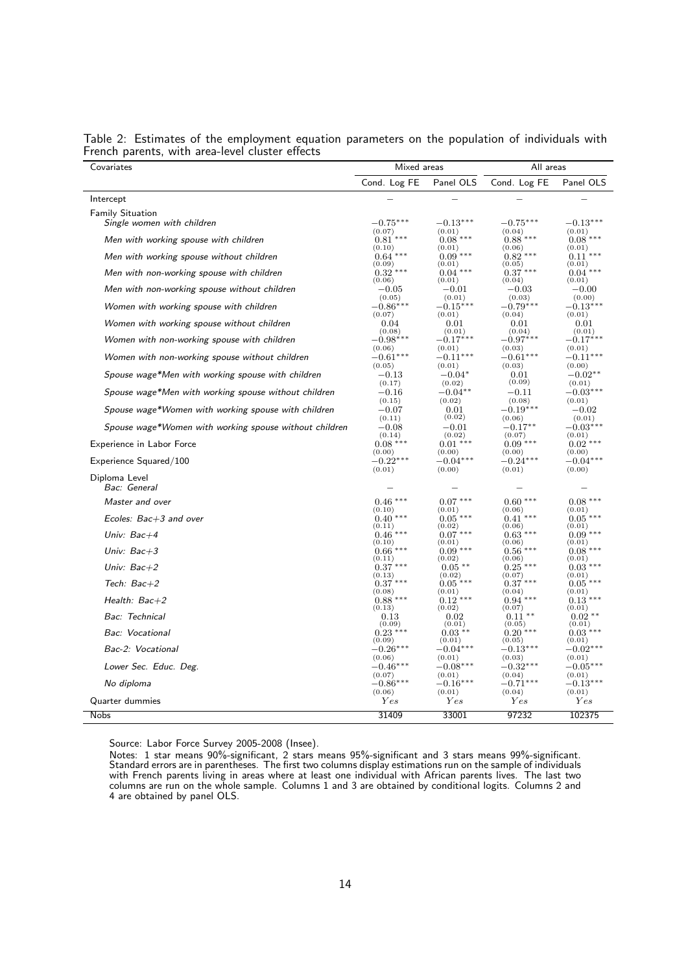| Covariates                                             | Mixed areas                 |                               | All areas                   |                      |  |
|--------------------------------------------------------|-----------------------------|-------------------------------|-----------------------------|----------------------|--|
|                                                        | Cond. Log FE                | Panel OLS                     | Cond. Log FE                | Panel OLS            |  |
| Intercept                                              |                             |                               |                             |                      |  |
| <b>Family Situation</b><br>Single women with children  | $-0.75***$                  | $-0.13***$                    | $-0.75***$                  | $-0.13***$           |  |
| Men with working spouse with children                  | (0.07)                      | (0.01)                        | (0.04)                      | (0.01)               |  |
|                                                        | $0.81***$                   | $0.08***$                     | $0.88***$                   | $0.08***$            |  |
|                                                        | (0.10)                      | (0.01)                        | (0.06)                      | (0.01)               |  |
| Men with working spouse without children               | $0.64$ ***                  | $0.09***$                     | $0.82***$                   | $0.11***$            |  |
| Men with non-working spouse with children              | (0.09)                      | (0.01)                        | (0.05)                      | (0.01)               |  |
|                                                        | $0.32$ ***                  | $0.04***$                     | $0.37***$                   | $0.04***$            |  |
|                                                        | (0.06)                      | (0.01)                        | (0.04)                      | (0.01)               |  |
| Men with non-working spouse without children           | $-0.05$                     | $-0.01$                       | $-0.03$                     | $-0.00$              |  |
|                                                        | (0.05)                      | (0.01)                        | (0.03)                      | (0.00)               |  |
| Women with working spouse with children                | $-0.86***$                  | $-0.15***$                    | $-0.79***$                  | $-0.13***$           |  |
|                                                        | (0.07)                      | (0.01)                        | (0.04)                      | (0.01)               |  |
| Women with working spouse without children             | 0.04                        | 0.01                          | 0.01                        | 0.01                 |  |
|                                                        | (0.08)                      | (0.01)                        | (0.04)                      | (0.01)               |  |
| Women with non-working spouse with children            | $-0.98***$                  | $-0.17***$                    | $-0.97***$                  | $-0.17***$           |  |
| Women with non-working spouse without children         | (0.06)                      | (0.01)                        | (0.03)                      | (0.01)               |  |
|                                                        | $-0.61***$                  | $-0.11***$                    | $-0.61***$                  | $-0.11***$           |  |
|                                                        | (0.05)                      | (0.01)                        | (0.03)                      | (0.00)               |  |
| Spouse wage*Men with working spouse with children      | $-0.13\,$                   | $-0.04*$                      | 0.01                        | $-0.02**$            |  |
| Spouse wage*Men with working spouse without children   | (0.17)<br>$-0.16$<br>(0.15) | (0.02)<br>$-0.04**$<br>(0.02) | (0.09)<br>$-0.11$<br>(0.08) | (0.01)<br>$-0.03***$ |  |
| Spouse wage*Women with working spouse with children    | $-0.07$                     | 0.01                          | $-0.19***$                  | (0.01)<br>$-0.02$    |  |
| Spouse wage*Women with working spouse without children | (0.11)                      | (0.02)                        | (0.06)                      | (0.01)               |  |
|                                                        | $-0.08$                     | $-0.01$                       | $-0.17**$                   | $-0.03***$           |  |
| <b>Experience in Labor Force</b>                       | (0.14)                      | (0.02)                        | (0.07)                      | (0.01)               |  |
|                                                        | $0.08***$                   | $0.01***$                     | $0.09***$                   | $0.02***$            |  |
| Experience Squared/100                                 | (0.00)                      | (0.00)                        | (0.00)                      | (0.00)               |  |
|                                                        | $-0.22***$                  | $-0.04***$                    | $-0.24***$                  | $-0.04***$           |  |
| Diploma Level<br>Bac: General                          | (0.01)                      | (0.00)                        | (0.01)                      | (0.00)               |  |
| Master and over                                        | $0.46***$                   | $0.07***$                     | $0.60***$                   | $0.08***$            |  |
| Ecoles: Bac+3 and over                                 | (0.10)                      | (0.01)                        | (0.06)                      | (0.01)               |  |
|                                                        | $0.40***$                   | $0.05***$                     | $0.41***$                   | $0.05***$            |  |
| Univ: $Bac+4$                                          | (0.11)                      | (0.02)                        | (0.06)                      | (0.01)               |  |
|                                                        | $0.46***$                   | $0.07***$                     | $0.63***$                   | $0.09***$            |  |
| Univ: $Bac+3$                                          | (0.10)                      | (0.01)                        | (0.06)                      | (0.01)               |  |
|                                                        | $0.66***$                   | $0.09***$                     | $0.56***$                   | $0.08***$            |  |
| Univ: $Bac+2$                                          | (0.11)                      | (0.02)                        | (0.06)                      | (0.01)               |  |
|                                                        | $0.37***$                   | $0.05**$                      | $0.25***$                   | $0.03***$            |  |
| Tech: $Bac+2$                                          | (0.13)                      | (0.02)                        | (0.07)                      | (0.01)               |  |
|                                                        | $0.37***$                   | $0.05***$                     | $0.37***$                   | $0.05***$            |  |
| Health: Bac+2                                          | (0.08)                      | (0.01)                        | (0.04)                      | (0.01)               |  |
|                                                        | $0.88***$                   | $0.12***$                     | $0.94***$                   | $0.13***$            |  |
| Bac: Technical                                         | (0.13)                      | (0.02)                        | (0.07)                      | (0.01)               |  |
|                                                        | 0.13                        | 0.02                          | $0.11**$                    | $0.02**$             |  |
| Bac: Vocational                                        | (0.09)                      | (0.01)                        | (0.05)                      | (0.01)               |  |
|                                                        | $0.23***$                   | $0.03***$                     | $0.20***$                   | $0.03***$            |  |
| Bac-2: Vocational                                      | (0.09)                      | (0.01)                        | (0.05)                      | (0.01)               |  |
|                                                        | $-0.26***$                  | $-0.04***$                    | $-0.13***$                  | $-0.02***$           |  |
|                                                        | (0.06)                      | (0.01)                        | (0.03)                      | (0.01)               |  |
| Lower Sec. Educ. Deg.                                  | $-0.46***$                  | $-0.08***$                    | $-0.32***$                  | $-0.05***$           |  |
|                                                        | (0.07)                      | (0.01)                        | (0.04)                      | (0.01)               |  |
| No diploma                                             | $-0.86***$                  | $-0.16***$                    | $-0.71***$                  | $-0.13***$           |  |
|                                                        | (0.06)                      | (0.01)                        | (0.04)                      | (0.01)               |  |
| Quarter dummies                                        | Yes                         | Yes                           | Yes                         | Yes                  |  |
| Nobs                                                   | 31409                       | 33001                         | 97232                       | 102375               |  |

|  | Table 2: Estimates of the employment equation parameters on the population of individuals with |  |  |  |  |
|--|------------------------------------------------------------------------------------------------|--|--|--|--|
|  | French parents, with area-level cluster effects                                                |  |  |  |  |

Notes: 1 star means 90%-significant, 2 stars means 95%-significant and 3 stars means 99%-significant. Standard errors are in parentheses. The first two columns display estimations run on the sample of individuals with French parents living in areas where at least one individual with African parents lives. The last two columns are run on the whole sample. Columns 1 and 3 are obtained by conditional logits. Columns 2 and 4 are obtained by panel OLS.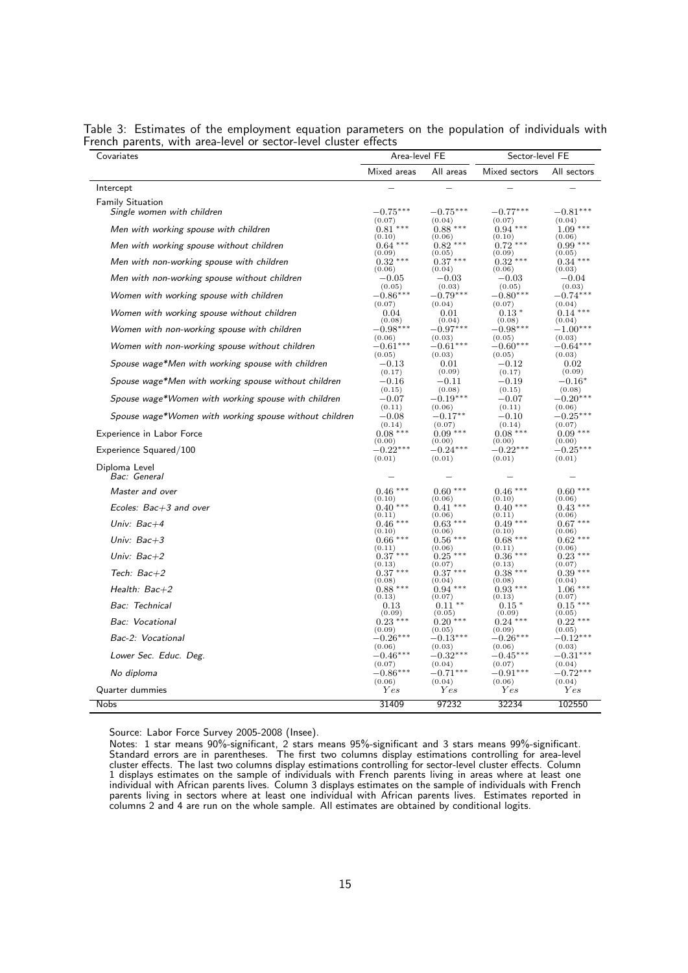| Covariates                                             | Area-level FE        |                      | Sector-level FE      |                      |  |
|--------------------------------------------------------|----------------------|----------------------|----------------------|----------------------|--|
|                                                        | Mixed areas          | All areas            | Mixed sectors        | All sectors          |  |
| Intercept                                              |                      |                      |                      |                      |  |
| <b>Family Situation</b>                                |                      |                      |                      |                      |  |
| Single women with children                             | $-0.75***$           | $-0.75***$           | $-0.77***$           | $-0.81***$           |  |
| Men with working spouse with children                  | (0.07)<br>$0.81***$  | (0.04)<br>$0.88***$  | (0.07)<br>$0.94***$  | (0.04)<br>$1.09***$  |  |
|                                                        | (0.10)               | (0.06)               | (0.10)               | (0.06)               |  |
| Men with working spouse without children               | $0.64***$<br>(0.09)  | $0.82***$<br>(0.05)  | $0.72***$<br>(0.09)  | $0.99***$<br>(0.05)  |  |
| Men with non-working spouse with children              | $0.32***$<br>(0.06)  | $0.37***$<br>(0.04)  | $0.32***$<br>(0.06)  | $0.34***$<br>(0.03)  |  |
| Men with non-working spouse without children           | $^{\rm -0.05}$       | $-0.03$              | $-0.03$              | $-0.04$              |  |
| Women with working spouse with children                | (0.05)<br>$-0.86***$ | (0.03)<br>$-0.79***$ | (0.05)<br>$-0.80***$ | (0.03)<br>$-0.74***$ |  |
|                                                        | (0.07)               | (0.04)               | (0.07)               | (0.04)               |  |
| Women with working spouse without children             | 0.04<br>(0.08)       | 0.01<br>(0.04)       | $0.13*$<br>(0.08)    | $0.14***$<br>(0.04)  |  |
| Women with non-working spouse with children            | $-0.98***$           | $-0.97***$           | $-0.98***$           | $-1.00***$           |  |
|                                                        | (0.06)               | (0.03)               | (0.05)               | (0.03)               |  |
| Women with non-working spouse without children         | $-0.61***$<br>(0.05) | $-0.61***$<br>(0.03) | $-0.60***$<br>(0.05) | $-0.64***$<br>(0.03) |  |
| Spouse wage*Men with working spouse with children      | $-0.13$              | 0.01                 | $-0.12\,$            | 0.02                 |  |
|                                                        | (0.17)               | (0.09)               | (0.17)               | (0.09)               |  |
| Spouse wage*Men with working spouse without children   | $-0.16$<br>(0.15)    | $-0.11$<br>(0.08)    | $-0.19$<br>(0.15)    | $-0.16*$<br>(0.08)   |  |
| Spouse wage*Women with working spouse with children    | $-0.07$              | $-0.19***$           | $-0.07$              | $-0.20***$           |  |
|                                                        | (0.11)<br>$-0.08$    | (0.06)<br>$-0.17***$ | (0.11)               | (0.06)<br>$-0.25*$   |  |
| Spouse wage*Women with working spouse without children | (0.14)               | (0.07)               | $-0.10$<br>(0.14)    | (0.07)               |  |
| Experience in Labor Force                              | $0.08***$            | $0.09***$            | $0.08***$            | $0.09***$            |  |
| Experience Squared/100                                 | (0.00)<br>$-0.22***$ | (0.00)<br>$-0.24***$ | (0.00)<br>$-0.22***$ | (0.00)<br>$-0.25***$ |  |
|                                                        | (0.01)               | (0.01)               | (0.01)               | (0.01)               |  |
| Diploma Level<br>Bac: General                          |                      |                      |                      |                      |  |
|                                                        | $0.46***$            | $0.60***$            | $0.46***$            | $0.60***$            |  |
| Master and over                                        | (0.10)               | (0.06)               | (0.10)               | (0.06)               |  |
| Ecoles: Bac+3 and over                                 | $0.40***$<br>(0.11)  | $0.41***$<br>(0.06)  | $0.40***$<br>(0.11)  | $0.43***$<br>(0.06)  |  |
| Univ: $Bac+4$                                          | $0.46***$            | $0.63***$            | $0.49***$            | $0.67***$            |  |
| Univ: $Bac+3$                                          | (0.10)<br>$0.66***$  | (0.06)<br>$0.56***$  | (0.10)<br>$0.68***$  | (0.06)<br>$0.62***$  |  |
|                                                        | (0.11)               | (0.06)               | (0.11)               | (0.06)               |  |
| Univ: $Bac+2$                                          | $0.37***$<br>(0.13)  | $0.25***$<br>(0.07)  | $0.36***$<br>(0.13)  | $0.23***$<br>(0.07)  |  |
| Tech: $Bac+2$                                          | $0.37***$            | $0.37***$            | $0.38***$            | $0.39***$            |  |
| Health: $Bac+2$                                        | (0.08)<br>$0.88***$  | (0.04)<br>$0.94***$  | (0.08)<br>$0.93***$  | (0.04)<br>$1.06***$  |  |
| Bac: Technical                                         | (0.13)<br>0.13       | (0.07)<br>$0.11**$   | (0.13)<br>$0.15*$    | (0.07)<br>$0.15***$  |  |
| Bac: Vocational                                        | (0.09)<br>$0.23***$  | (0.05)<br>$0.20***$  | (0.09)<br>$0.24***$  | (0.05)<br>$0.22***$  |  |
| Bac-2: Vocational                                      | (0.09)<br>$-0.26***$ | (0.05)<br>$-0.13***$ | (0.09)<br>$-0.26***$ | (0.05)<br>$-0.12***$ |  |
|                                                        | (0.06)               | (0.03)               | (0.06)               | (0.03)               |  |
| Lower Sec. Educ. Deg.                                  | $-0.46***$<br>(0.07) | $-0.32***$<br>(0.04) | $-0.45***$<br>(0.07) | $-0.31***$<br>(0.04) |  |
| No diploma                                             | $-0.86***$           | $-0.71***$           | $-0.91***$           | $-0.72***$           |  |
| Quarter dummies                                        | (0.06)<br>Yes        | (0.04)<br>Yes        | (0.06)<br>Yes        | (0.04)<br>Yes        |  |
|                                                        |                      |                      |                      |                      |  |
| <b>Nobs</b>                                            | 31409                | 97232                | 32234                | 102550               |  |

Table 3: Estimates of the employment equation parameters on the population of individuals with French parents, with area-level or sector-level cluster effects

Notes: 1 star means 90%-significant, 2 stars means 95%-significant and 3 stars means 99%-significant. Standard errors are in parentheses. The first two columns display estimations controlling for area-level cluster effects. The last two columns display estimations controlling for sector-level cluster effects. Column 1 displays estimates on the sample of individuals with French parents living in areas where at least one individual with African parents lives. Column 3 displays estimates on the sample of individuals with French parents living in sectors where at least one individual with African parents lives. Estimates reported in columns 2 and 4 are run on the whole sample. All estimates are obtained by conditional logits.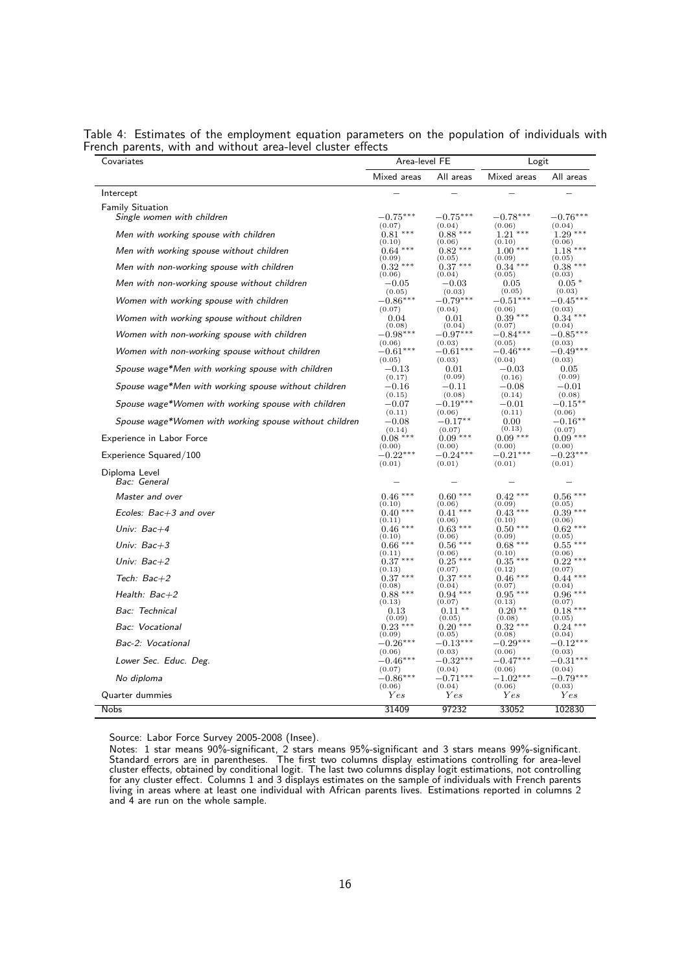| Covariates                                             | Area-level FE |             | Logit       |            |  |
|--------------------------------------------------------|---------------|-------------|-------------|------------|--|
|                                                        | Mixed areas   | All areas   | Mixed areas | All areas  |  |
| Intercept                                              |               |             |             |            |  |
| <b>Family Situation</b><br>Single women with children  | $-0.75***$    | $-0.75***$  | $-0.78***$  | $-0.76***$ |  |
| Men with working spouse with children                  | (0.07)        | (0.04)      | (0.06)      | (0.04)     |  |
|                                                        | $0.81***$     | $0.88***$   | $1.21***$   | $1.29***$  |  |
|                                                        | (0.10)        | (0.06)      | (0.10)      | (0.06)     |  |
| Men with working spouse without children               | $0.64***$     | $0.82***$   | $1.00***$   | $1.18***$  |  |
| Men with non-working spouse with children              | (0.09)        | (0.05)      | (0.09)      | (0.05)     |  |
|                                                        | $0.32***$     | $0.37***$   | $0.34***$   | $0.38***$  |  |
|                                                        | (0.06)        | (0.04)      | (0.05)      | (0.03)     |  |
| Men with non-working spouse without children           | $-0.05$       | $-0.03$     | 0.05        | $0.05*$    |  |
| Women with working spouse with children                | (0.05)        | (0.03)      | (0.05)      | (0.03)     |  |
|                                                        | $-0.86***$    | $-0.79***$  | $-0.51***$  | $-0.45***$ |  |
|                                                        | (0.07)        | (0.04)      | (0.06)      | (0.03)     |  |
| Women with working spouse without children             | 0.04          | 0.01        | $0.39***$   | $0.34***$  |  |
| Women with non-working spouse with children            | (0.08)        | (0.04)      | (0.07)      | (0.04)     |  |
|                                                        | $-0.98***$    | $-0.97***$  | $-0.84***$  | $-0.85***$ |  |
| Women with non-working spouse without children         | (0.06)        | (0.03)      | (0.05)      | (0.03)     |  |
|                                                        | $-0.61***$    | $-0.61***$  | $-0.46***$  | $-0.49***$ |  |
|                                                        | (0.05)        | (0.03)      | (0.04)      | (0.03)     |  |
| Spouse wage*Men with working spouse with children      | $-0.13$       | 0.01        | $-0.03$     | 0.05       |  |
| Spouse wage*Men with working spouse without children   | (0.17)        | (0.09)      | (0.16)      | (0.09)     |  |
|                                                        | $-0.16$       | $-0.11$     | $-0.08$     | $-0.01$    |  |
|                                                        | (0.15)        | (0.08)      | (0.14)      | (0.08)     |  |
| Spouse wage*Women with working spouse with children    | $-0.07$       | $-0.19***$  | $-0.01$     | $-0.15***$ |  |
| Spouse wage*Women with working spouse without children | (0.11)        | (0.06)      | (0.11)      | (0.06)     |  |
|                                                        | $-0.08$       | $-0.17**$   | 0.00        | $-0.16***$ |  |
|                                                        | (0.14)        | (0.07)      | (0.13)      | (0.07)     |  |
| <b>Experience in Labor Force</b>                       | $0.08***$     | $0.09***$   | $0.09***$   | $0.09***$  |  |
| Experience Squared/100                                 | (0.00)        | (0.00)      | (0.00)      | (0.00)     |  |
|                                                        | $-0.22***$    | $-0.24***$  | $-0.21***$  | $-0.23***$ |  |
|                                                        | (0.01)        | (0.01)      | (0.01)      | (0.01)     |  |
| Diploma Level<br>Bac: General                          |               |             |             |            |  |
| Master and over                                        | $0.46***$     | $0.60***$   | $0.42***$   | $0.56***$  |  |
| Ecoles: $Bac+3$ and over                               | (0.10)        | (0.06)      | (0.09)      | (0.05)     |  |
|                                                        | $0.40***$     | $0.41***$   | $0.43***$   | $0.39***$  |  |
|                                                        | (0.11)        | (0.06)      | (0.10)      | (0.06)     |  |
| Univ: Bac+4                                            | $0.46***$     | $0.63***$   | $0.50***$   | $0.62***$  |  |
| Univ: $Bac+3$                                          | (0.10)        | (0.06)      | (0.09)      | (0.05)     |  |
|                                                        | $0.66***$     | $0.56***$   | $0.68***$   | $0.55***$  |  |
| Univ: $Bac+2$                                          | (0.11)        | (0.06)      | (0.10)      | (0.06)     |  |
|                                                        | $0.37***$     | $0.25***$   | $0.35***$   | $0.22***$  |  |
|                                                        | (0.13)        | (0.07)      | (0.12)      | (0.07)     |  |
| Tech: Bac+2                                            | $0.37***$     | $0.37***$   | $0.46***$   | $0.44***$  |  |
| Health: $Bac+2$                                        | (0.08)        | (0.04)      | (0.07)      | (0.04)     |  |
|                                                        | $0.88***$     | $0.94***$   | $0.95***$   | $0.96***$  |  |
|                                                        | (0.13)        | (0.07)      | (0.13)      | (0.07)     |  |
| Bac: Technical                                         | 0.13          | $0.11**$    | $0.20**$    | $0.18***$  |  |
| Bac: Vocational                                        | (0.09)        | (0.05)      | (0.08)      | (0.05)     |  |
|                                                        | $0.23***$     | $0.20***$   | $0.32***$   | $0.24***$  |  |
| Bac-2: Vocational                                      | (0.09)        | (0.05)      | (0.08)      | (0.04)     |  |
|                                                        | $-0.26***$    | $-0.13***$  | $-0.29***$  | $-0.12***$ |  |
| Lower Sec. Educ. Deg.                                  | (0.06)        | (0.03)      | (0.06)      | (0.03)     |  |
|                                                        | $-0.46***$    | $-0.32***$  | $-0.47***$  | $-0.31***$ |  |
| No diploma                                             | (0.07)        | (0.04)      | (0.06)      | (0.04)     |  |
|                                                        | $-0.86***$    | $-0.71***$  | $-1.02***$  | $-0.79***$ |  |
| Quarter dummies                                        | (0.06)        | (0.04)      | (0.06)      | (0.03)     |  |
|                                                        | Yes           | <b>Y</b> es | Yes         | Yes        |  |
| <b>Nobs</b>                                            | 31409         | 97232       | 33052       | 102830     |  |

Table 4: Estimates of the employment equation parameters on the population of individuals with French parents, with and without area-level cluster effects

Notes: 1 star means 90%-significant, 2 stars means 95%-significant and 3 stars means 99%-significant. Standard errors are in parentheses. The first two columns display estimations controlling for area-level cluster effects, obtained by conditional logit. The last two columns display logit estimations, not controlling for any cluster effect. Columns 1 and 3 displays estimates on the sample of individuals with French parents living in areas where at least one individual with African parents lives. Estimations reported in columns 2 and 4 are run on the whole sample.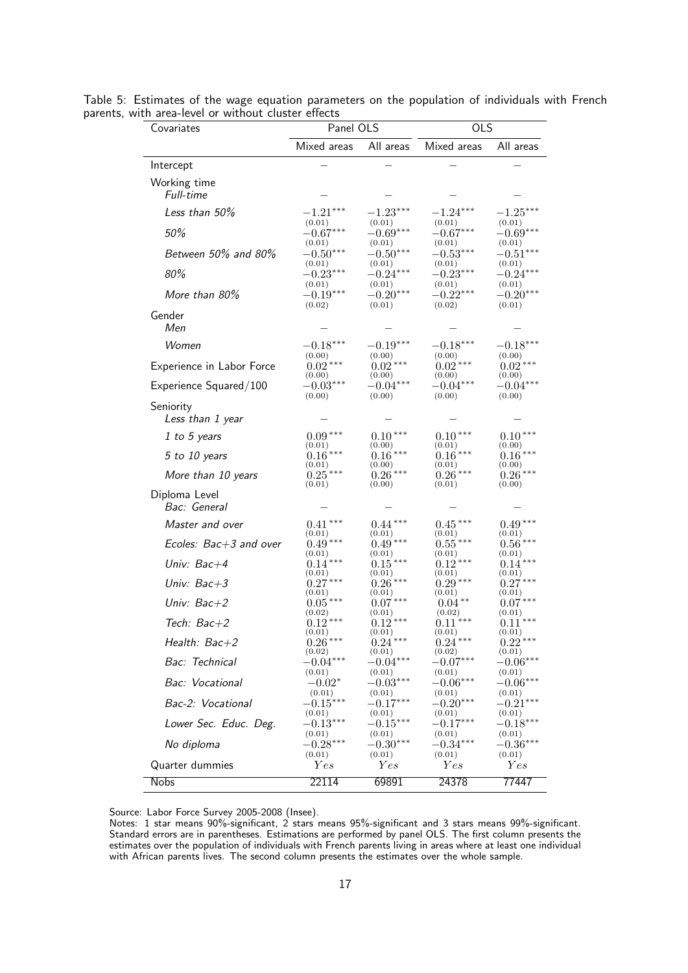| Covariates                    | Panel OLS                      |                                | <b>OLS</b>                     |                                |
|-------------------------------|--------------------------------|--------------------------------|--------------------------------|--------------------------------|
|                               | Mixed areas                    | All areas                      | Mixed areas                    | All areas                      |
| Intercept                     |                                |                                |                                |                                |
| Working time<br>Full-time     |                                |                                |                                |                                |
| Less than 50%                 | $-1.21***$                     | $-1.23***$                     | $-1.24***$                     | $-1.25***$                     |
| 50%                           | (0.01)<br>$-0.67***$           | (0.01)<br>$-0.69***$           | (0.01)<br>$-0.67***$           | (0.01)<br>$-0.69***$           |
| Between 50% and 80%           | (0.01)<br>$-0.50***$<br>(0.01) | (0.01)<br>$-0.50***$<br>(0.01) | (0.01)<br>$-0.53***$<br>(0.01) | (0.01)<br>$-0.51***$<br>(0.01) |
| 80%                           | $-0.23***$                     | $-0.24***$                     | $-0.23***$                     | $-0.24***$                     |
| More than 80%                 | (0.01)<br>$-0.19***$<br>(0.02) | (0.01)<br>$-0.20***$<br>(0.01) | (0.01)<br>$-0.22***$<br>(0.02) | (0.01)<br>$-0.20***$<br>(0.01) |
| Gender<br>Men                 |                                |                                |                                |                                |
| Women                         | $-0.18***$                     | $-0.19***$                     | $-0.18***$                     | $-0.18***$                     |
| Experience in Labor Force     | (0.00)<br>$0.02***$<br>(0.00)  | (0.00)<br>$0.02***$<br>(0.00)  | (0.00)<br>$0.02***$<br>(0.00)  | (0.00)<br>$0.02***$<br>(0.00)  |
| Experience Squared/100        | $-0.03***$                     | $-0.04***$                     | $-0.04***$                     | $-0.04***$                     |
| Seniority<br>Less than 1 year | (0.00)                         | (0.00)                         | (0.00)                         | (0.00)                         |
| 1 to 5 years                  | $0.09***$                      | $0.10***$                      | $0.10***$                      | $0.10***$                      |
| 5 to 10 years                 | (0.01)<br>$0.16***$            | (0.00)<br>$0.16***$            | (0.01)<br>$0.16***$            | (0.00)<br>$0.16***$            |
| More than 10 years            | (0.01)<br>$0.25***$<br>(0.01)  | $(0.00)$<br>0.26***<br>(0.00)  | (0.01)<br>$0.26***$<br>(0.01)  | (0.00)<br>$0.26***$<br>(0.00)  |
| Diploma Level<br>Bac: General |                                |                                |                                |                                |
| Master and over               | $0.41***$                      | $0.44***$                      | $0.45***$                      | $0.49***$                      |
| Ecoles: Bac+3 and over        | (0.01)<br>$0.49***$            | (0.01)<br>$0.49***$            | (0.01)<br>$0.55\,***$          | (0.01)<br>$0.56***$            |
| Univ: Bac+4                   | (0.01)<br>$0.14***$<br>(0.01)  | (0.01)<br>$0.15***$<br>(0.01)  | (0.01)<br>$0.12***$<br>(0.01)  | (0.01)<br>$0.14***$<br>(0.01)  |
| Univ: Bac+3                   | $0.27***$                      | $0.26***$                      | $0.29***$                      | $0.27***$                      |
| Univ: Bac+2                   | (0.01)<br>$0.05***$            | (0.01)<br>$0.07***$            | (0.01)<br>$0.04***$            | (0.01)<br>$0.07***$            |
| Tech: Bac+2                   | (0.02)<br>$0.12***$            | (0.01)<br>$0.12***$            | (0.02)<br>$0.11***$            | (0.01)<br>$0.11***$            |
| Health: Bac+2                 | (0.01)<br>$0.26***$            | (0.01)<br>$0.24***$            | (0.01)<br>$0.24***$            | (0.01)<br>$0.22***$            |
| Bac: Technical                | (0.02)<br>$-0.04***$           | (0.01)<br>$-0.04***$           | (0.02)<br>$-0.07***$           | (0.01)<br>$-0.06***$           |
| Bac: Vocational               | (0.01)<br>$-0.02^\ast$         | (0.01)<br>$-0.03***$           | (0.01)<br>$-0.06***$           | (0.01)<br>$-0.06***$           |
| Bac-2: Vocational             | (0.01)<br>$-0.15***$           | (0.01)<br>$-0.17***$           | (0.01)<br>$-0.20***$           | (0.01)<br>$-0.21***$           |
| Lower Sec. Educ. Deg.         | (0.01)<br>$-0.13***$           | (0.01)<br>$-0.15***$           | (0.01)<br>$-0.17***$           | (0.01)<br>$-0.18***$           |
| No diploma                    | (0.01)<br>$-0.28***$<br>(0.01) | (0.01)<br>$-0.30***$<br>(0.01) | (0.01)<br>$-0.34***$<br>(0.01) | (0.01)<br>$-0.36***$<br>(0.01) |
| Quarter dummies               | Yes                            | Yes                            | Yes                            | Yes                            |
| <b>Nobs</b>                   | 22114                          | 69891                          | 24378                          | 77447                          |

Table 5: Estimates of the wage equation parameters on the population of individuals with French parents, with area-level or without cluster effects

Notes: 1 star means 90%-significant, 2 stars means 95%-significant and 3 stars means 99%-significant. Standard errors are in parentheses. Estimations are performed by panel OLS. The first column presents the estimates over the population of individuals with French parents living in areas where at least one individual with African parents lives. The second column presents the estimates over the whole sample.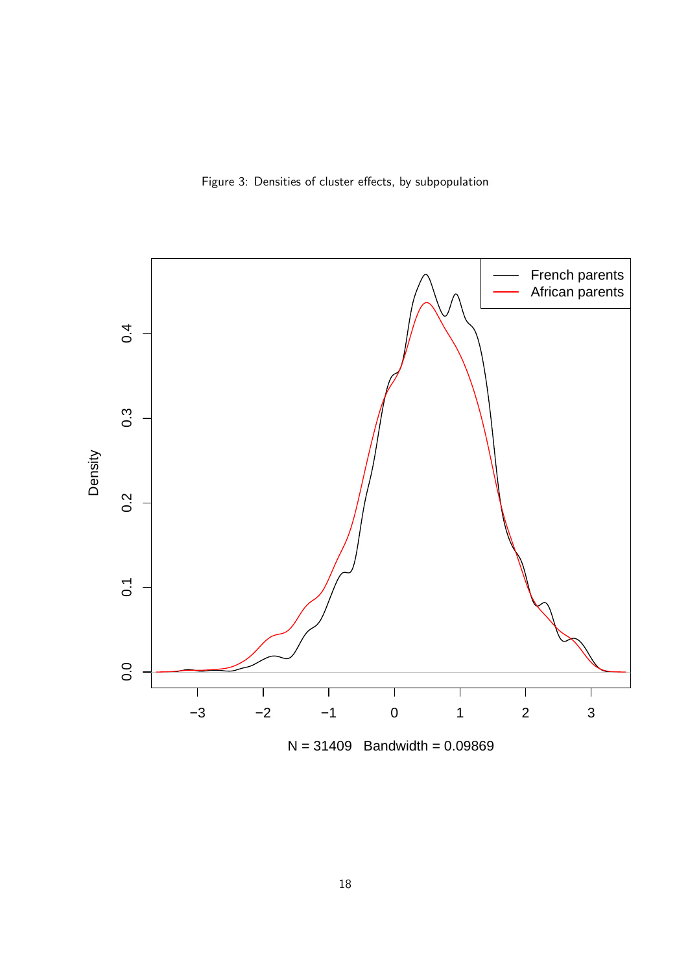Figure 3: Densities of cluster effects, by subpopulation

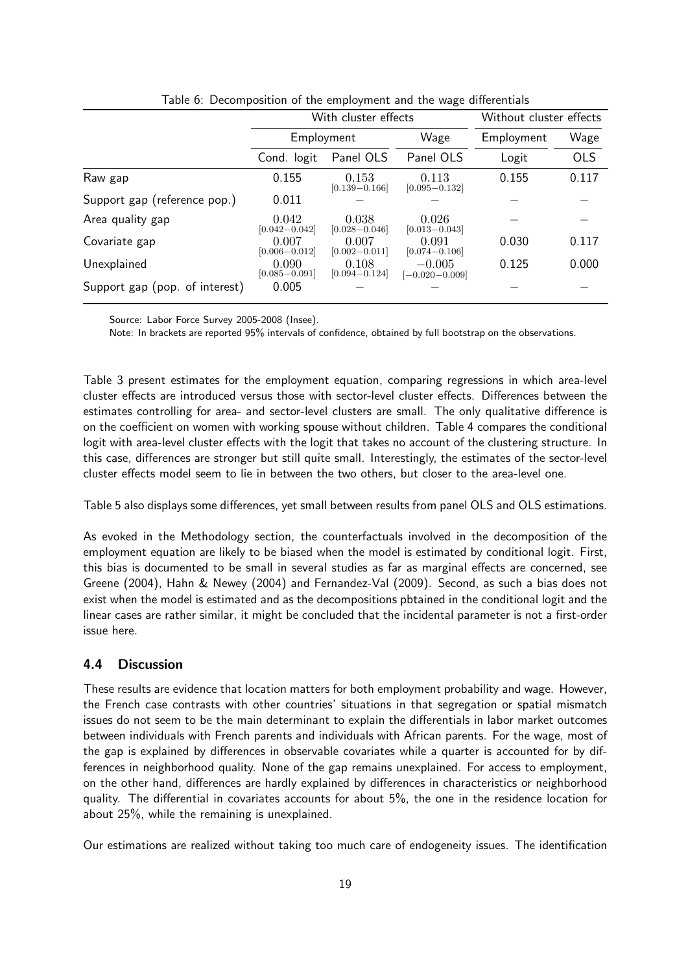|                                |                            | With cluster effects       | Without cluster effects        |            |            |
|--------------------------------|----------------------------|----------------------------|--------------------------------|------------|------------|
|                                | Employment                 |                            | Wage                           | Employment | Wage       |
|                                | Cond. logit                | Panel OLS                  | Panel OLS                      | Logit      | <b>OLS</b> |
| Raw gap                        | 0.155                      | 0.153<br>$[0.139 - 0.166]$ | 0.113<br>$[0.095 - 0.132]$     | 0.155      | 0.117      |
| Support gap (reference pop.)   | 0.011                      |                            |                                |            |            |
| Area quality gap               | 0.042<br>$[0.042 - 0.042]$ | 0.038<br>$[0.028 - 0.046]$ | 0.026<br>$[0.013 - 0.043]$     |            |            |
| Covariate gap                  | 0.007<br>$[0.006 - 0.012]$ | 0.007<br>$[0.002 - 0.011]$ | 0.091<br>$[0.074 - 0.106]$     | 0.030      | 0.117      |
| Unexplained                    | 0.090<br>$[0.085 - 0.091]$ | 0.108<br>$[0.094 - 0.124]$ | $-0.005$<br>$[-0.020 - 0.009]$ | 0.125      | 0.000      |
| Support gap (pop. of interest) | 0.005                      |                            |                                |            |            |

Table 6: Decomposition of the employment and the wage differentials

Note: In brackets are reported 95% intervals of confidence, obtained by full bootstrap on the observations.

Table 3 present estimates for the employment equation, comparing regressions in which area-level cluster effects are introduced versus those with sector-level cluster effects. Differences between the estimates controlling for area- and sector-level clusters are small. The only qualitative difference is on the coefficient on women with working spouse without children. Table 4 compares the conditional logit with area-level cluster effects with the logit that takes no account of the clustering structure. In this case, differences are stronger but still quite small. Interestingly, the estimates of the sector-level cluster effects model seem to lie in between the two others, but closer to the area-level one.

Table 5 also displays some differences, yet small between results from panel OLS and OLS estimations.

As evoked in the Methodology section, the counterfactuals involved in the decomposition of the employment equation are likely to be biased when the model is estimated by conditional logit. First, this bias is documented to be small in several studies as far as marginal effects are concerned, see Greene (2004), Hahn & Newey (2004) and Fernandez-Val (2009). Second, as such a bias does not exist when the model is estimated and as the decompositions pbtained in the conditional logit and the linear cases are rather similar, it might be concluded that the incidental parameter is not a first-order issue here.

#### 4.4 Discussion

These results are evidence that location matters for both employment probability and wage. However, the French case contrasts with other countries' situations in that segregation or spatial mismatch issues do not seem to be the main determinant to explain the differentials in labor market outcomes between individuals with French parents and individuals with African parents. For the wage, most of the gap is explained by differences in observable covariates while a quarter is accounted for by differences in neighborhood quality. None of the gap remains unexplained. For access to employment, on the other hand, differences are hardly explained by differences in characteristics or neighborhood quality. The differential in covariates accounts for about 5%, the one in the residence location for about 25%, while the remaining is unexplained.

Our estimations are realized without taking too much care of endogeneity issues. The identification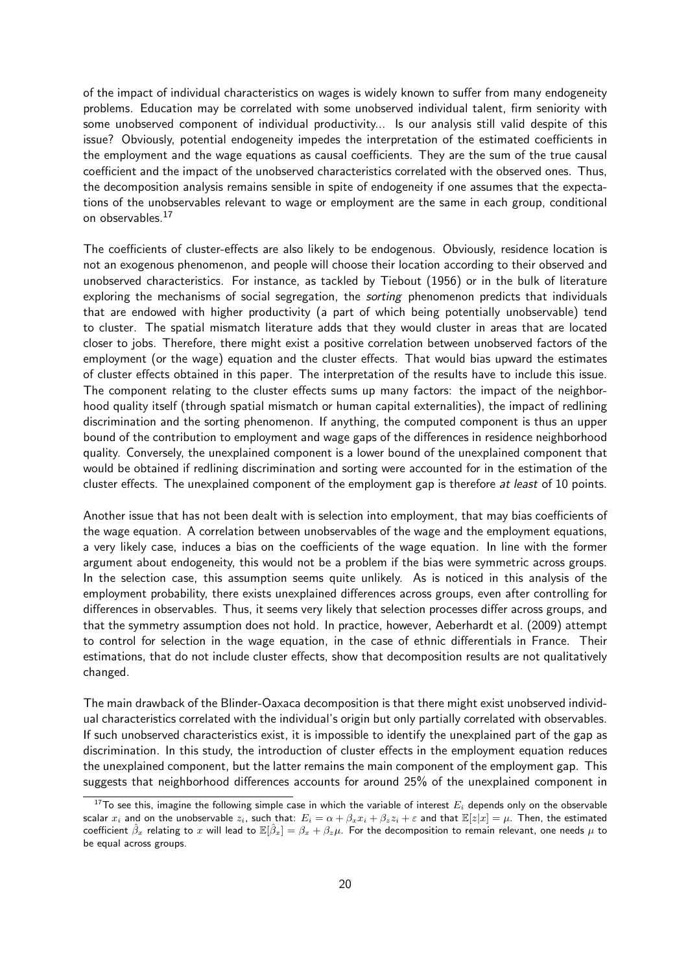of the impact of individual characteristics on wages is widely known to suffer from many endogeneity problems. Education may be correlated with some unobserved individual talent, firm seniority with some unobserved component of individual productivity... Is our analysis still valid despite of this issue? Obviously, potential endogeneity impedes the interpretation of the estimated coefficients in the employment and the wage equations as causal coefficients. They are the sum of the true causal coefficient and the impact of the unobserved characteristics correlated with the observed ones. Thus, the decomposition analysis remains sensible in spite of endogeneity if one assumes that the expectations of the unobservables relevant to wage or employment are the same in each group, conditional on observables.<sup>17</sup>

The coefficients of cluster-effects are also likely to be endogenous. Obviously, residence location is not an exogenous phenomenon, and people will choose their location according to their observed and unobserved characteristics. For instance, as tackled by Tiebout (1956) or in the bulk of literature exploring the mechanisms of social segregation, the *sorting* phenomenon predicts that individuals that are endowed with higher productivity (a part of which being potentially unobservable) tend to cluster. The spatial mismatch literature adds that they would cluster in areas that are located closer to jobs. Therefore, there might exist a positive correlation between unobserved factors of the employment (or the wage) equation and the cluster effects. That would bias upward the estimates of cluster effects obtained in this paper. The interpretation of the results have to include this issue. The component relating to the cluster effects sums up many factors: the impact of the neighborhood quality itself (through spatial mismatch or human capital externalities), the impact of redlining discrimination and the sorting phenomenon. If anything, the computed component is thus an upper bound of the contribution to employment and wage gaps of the differences in residence neighborhood quality. Conversely, the unexplained component is a lower bound of the unexplained component that would be obtained if redlining discrimination and sorting were accounted for in the estimation of the cluster effects. The unexplained component of the employment gap is therefore *at least* of 10 points.

Another issue that has not been dealt with is selection into employment, that may bias coefficients of the wage equation. A correlation between unobservables of the wage and the employment equations, a very likely case, induces a bias on the coefficients of the wage equation. In line with the former argument about endogeneity, this would not be a problem if the bias were symmetric across groups. In the selection case, this assumption seems quite unlikely. As is noticed in this analysis of the employment probability, there exists unexplained differences across groups, even after controlling for differences in observables. Thus, it seems very likely that selection processes differ across groups, and that the symmetry assumption does not hold. In practice, however, Aeberhardt et al. (2009) attempt to control for selection in the wage equation, in the case of ethnic differentials in France. Their estimations, that do not include cluster effects, show that decomposition results are not qualitatively changed.

The main drawback of the Blinder-Oaxaca decomposition is that there might exist unobserved individual characteristics correlated with the individual's origin but only partially correlated with observables. If such unobserved characteristics exist, it is impossible to identify the unexplained part of the gap as discrimination. In this study, the introduction of cluster effects in the employment equation reduces the unexplained component, but the latter remains the main component of the employment gap. This suggests that neighborhood differences accounts for around 25% of the unexplained component in

<sup>&</sup>lt;sup>17</sup>To see this, imagine the following simple case in which the variable of interest  $E_i$  depends only on the observable scalar  $x_i$  and on the unobservable  $z_i$ , such that:  $E_i = \alpha + \beta_x x_i + \beta_z z_i + \varepsilon$  and that  $\mathbb{E}[z|x] = \mu$ . Then, the estimated coefficient  $\hat{\beta}_x$  relating to x will lead to  $\mathbb{E}[\hat{\beta}_x] = \beta_x + \beta_z \mu$ . For the decomposition to remain relevant, one needs  $\mu$  to be equal across groups.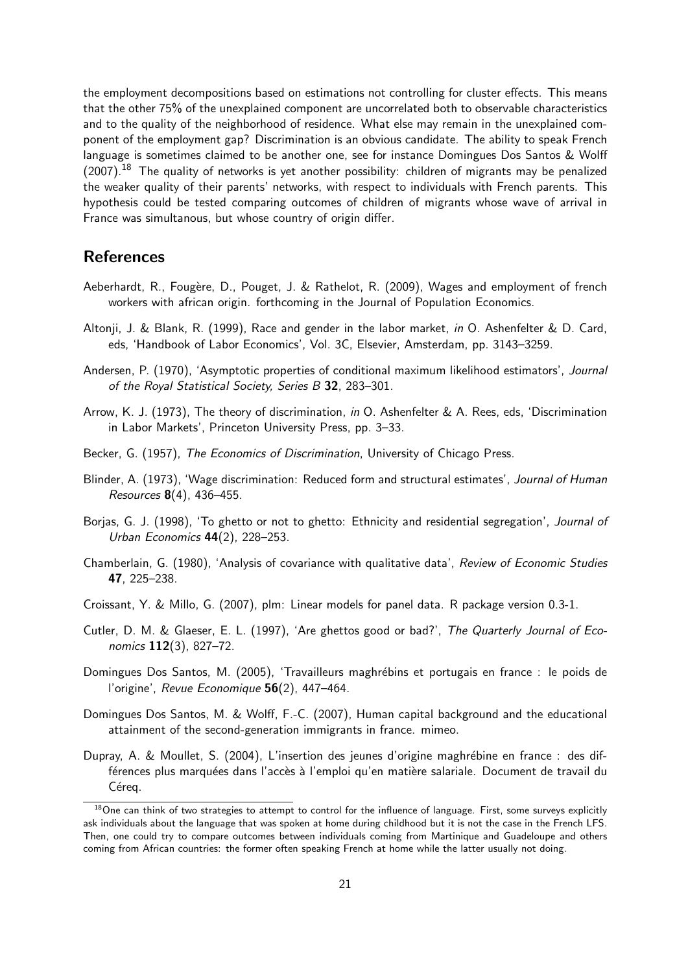the employment decompositions based on estimations not controlling for cluster effects. This means that the other 75% of the unexplained component are uncorrelated both to observable characteristics and to the quality of the neighborhood of residence. What else may remain in the unexplained component of the employment gap? Discrimination is an obvious candidate. The ability to speak French language is sometimes claimed to be another one, see for instance Domingues Dos Santos & Wolff (2007).<sup>18</sup> The quality of networks is yet another possibility: children of migrants may be penalized the weaker quality of their parents' networks, with respect to individuals with French parents. This hypothesis could be tested comparing outcomes of children of migrants whose wave of arrival in France was simultanous, but whose country of origin differ.

## References

- Aeberhardt, R., Fougère, D., Pouget, J. & Rathelot, R. (2009), Wages and employment of french workers with african origin. forthcoming in the Journal of Population Economics.
- Altonji, J. & Blank, R. (1999), Race and gender in the labor market, in O. Ashenfelter & D. Card, eds, 'Handbook of Labor Economics', Vol. 3C, Elsevier, Amsterdam, pp. 3143–3259.
- Andersen, P. (1970), 'Asymptotic properties of conditional maximum likelihood estimators', Journal of the Royal Statistical Society, Series B 32, 283–301.
- Arrow, K. J. (1973), The theory of discrimination, in O. Ashenfelter & A. Rees, eds, 'Discrimination in Labor Markets', Princeton University Press, pp. 3–33.
- Becker, G. (1957). The Economics of Discrimination, University of Chicago Press.
- Blinder, A. (1973), 'Wage discrimination: Reduced form and structural estimates', Journal of Human Resources 8(4), 436–455.
- Borjas, G. J. (1998), 'To ghetto or not to ghetto: Ethnicity and residential segregation', Journal of Urban Economics 44(2), 228–253.
- Chamberlain, G. (1980), 'Analysis of covariance with qualitative data', Review of Economic Studies 47, 225–238.
- Croissant, Y. & Millo, G. (2007), plm: Linear models for panel data. R package version 0.3-1.
- Cutler, D. M. & Glaeser, E. L. (1997), 'Are ghettos good or bad?', The Quarterly Journal of Economics 112(3), 827–72.
- Domingues Dos Santos, M. (2005), 'Travailleurs maghrébins et portugais en france : le poids de l'origine', Revue Economique 56(2), 447-464.
- Domingues Dos Santos, M. & Wolff, F.-C. (2007), Human capital background and the educational attainment of the second-generation immigrants in france. mimeo.
- Dupray, A. & Moullet, S. (2004), L'insertion des jeunes d'origine maghrébine en france : des différences plus marquées dans l'accès à l'emploi qu'en matière salariale. Document de travail du Céreq.

 $18$ One can think of two strategies to attempt to control for the influence of language. First, some surveys explicitly ask individuals about the language that was spoken at home during childhood but it is not the case in the French LFS. Then, one could try to compare outcomes between individuals coming from Martinique and Guadeloupe and others coming from African countries: the former often speaking French at home while the latter usually not doing.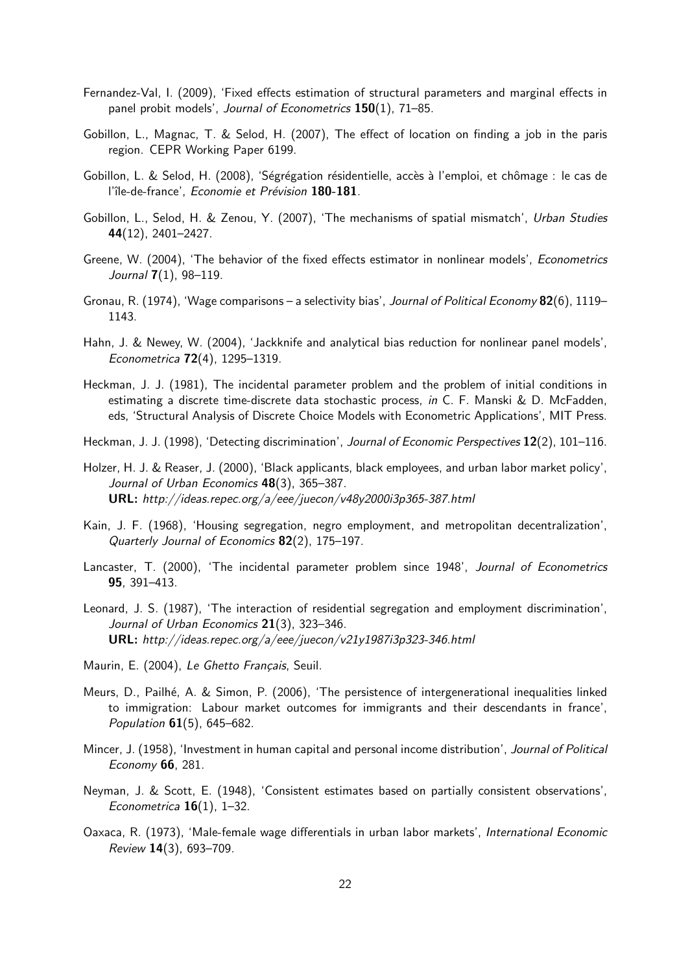- Fernandez-Val, I. (2009), 'Fixed effects estimation of structural parameters and marginal effects in panel probit models', Journal of Econometrics 150(1), 71-85.
- Gobillon, L., Magnac, T. & Selod, H. (2007), The effect of location on finding a job in the paris region. CEPR Working Paper 6199.
- Gobillon, L. & Selod, H. (2008), 'Ségrégation résidentielle, accès à l'emploi, et chômage : le cas de l'île-de-france', Economie et Prévision 180-181.
- Gobillon, L., Selod, H. & Zenou, Y. (2007), 'The mechanisms of spatial mismatch', Urban Studies 44(12), 2401–2427.
- Greene, W. (2004), 'The behavior of the fixed effects estimator in nonlinear models', Econometrics Journal 7(1), 98–119.
- Gronau, R. (1974), 'Wage comparisons a selectivity bias', Journal of Political Economy 82(6), 1119– 1143.
- Hahn, J. & Newey, W. (2004), 'Jackknife and analytical bias reduction for nonlinear panel models', Econometrica 72(4), 1295–1319.
- Heckman, J. J. (1981), The incidental parameter problem and the problem of initial conditions in estimating a discrete time-discrete data stochastic process, in C. F. Manski & D. McFadden, eds, 'Structural Analysis of Discrete Choice Models with Econometric Applications', MIT Press.
- Heckman, J. J. (1998), 'Detecting discrimination', Journal of Economic Perspectives 12(2), 101–116.
- Holzer, H. J. & Reaser, J. (2000), 'Black applicants, black employees, and urban labor market policy', Journal of Urban Economics 48(3), 365-387. URL: http://ideas.repec.org/a/eee/juecon/v48y2000i3p365-387.html
- Kain, J. F. (1968), 'Housing segregation, negro employment, and metropolitan decentralization', Quarterly Journal of Economics 82(2), 175–197.
- Lancaster, T. (2000), 'The incidental parameter problem since 1948', Journal of Econometrics 95, 391–413.
- Leonard, J. S. (1987), 'The interaction of residential segregation and employment discrimination', Journal of Urban Economics 21(3), 323-346. URL: http://ideas.repec.org/a/eee/juecon/v21y1987i3p323-346.html
- Maurin, E. (2004), Le Ghetto Français, Seuil.
- Meurs, D., Pailhé, A. & Simon, P. (2006), 'The persistence of intergenerational inequalities linked to immigration: Labour market outcomes for immigrants and their descendants in france', Population  $61(5)$ , 645–682.
- Mincer, J. (1958), 'Investment in human capital and personal income distribution', Journal of Political Economy 66, 281.
- Neyman, J. & Scott, E. (1948), 'Consistent estimates based on partially consistent observations', Econometrica  $16(1)$ , 1–32.
- Oaxaca, R. (1973), 'Male-female wage differentials in urban labor markets', International Economic Review 14(3), 693–709.